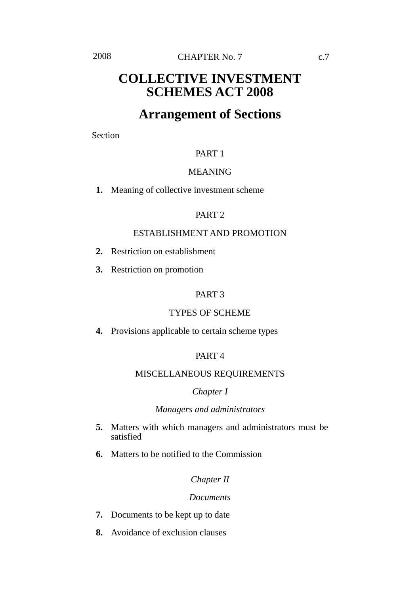# **COLLECTIVE INVESTMENT SCHEMES ACT 2008**

# **Arrangement of Sections**

Section

### PART 1

### MEANING

**1.** Meaning of collective investment scheme

### PART 2

### ESTABLISHMENT AND PROMOTION

- **2.** Restriction on establishment
- **3.** Restriction on promotion

### PART 3

### TYPES OF SCHEME

**4.** Provisions applicable to certain scheme types

### PART 4

### MISCELLANEOUS REQUIREMENTS

#### *Chapter I*

### *Managers and administrators*

- **5.** Matters with which managers and administrators must be satisfied
- **6.** Matters to be notified to the Commission

### *Chapter II*

#### *Documents*

- **7.** Documents to be kept up to date
- **8.** Avoidance of exclusion clauses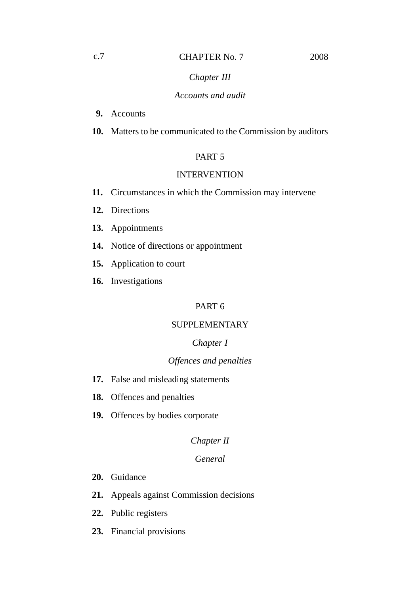### *Chapter III*

### *Accounts and audit*

- **9.** Accounts
- **10.** Matters to be communicated to the Commission by auditors

### PART 5

### INTERVENTION

- **11.** Circumstances in which the Commission may intervene
- **12.** Directions
- **13.** Appointments
- **14.** Notice of directions or appointment
- **15.** Application to court
- **16.** Investigations

### PART 6

### SUPPLEMENTARY

### *Chapter I*

### *Offences and penalties*

- **17.** False and misleading statements
- **18.** Offences and penalties
- **19.** Offences by bodies corporate

### *Chapter II*

### *General*

- **20.** Guidance
- **21.** Appeals against Commission decisions
- **22.** Public registers
- **23.** Financial provisions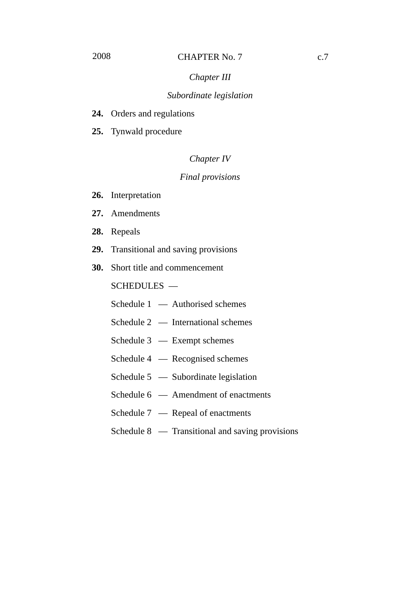### *Subordinate legislation*

- **24.** Orders and regulations
- **25.** Tynwald procedure

### *Chapter IV*

### *Final provisions*

- **26.** Interpretation
- **27.** Amendments
- **28.** Repeals
- **29.** Transitional and saving provisions
- **30.** Short title and commencement

SCHEDULES —

- Schedule 1 Authorised schemes
- Schedule 2 International schemes
- Schedule 3 Exempt schemes
- Schedule 4 Recognised schemes
- Schedule 5 Subordinate legislation
- Schedule 6 Amendment of enactments
- Schedule 7 Repeal of enactments
- Schedule 8 Transitional and saving provisions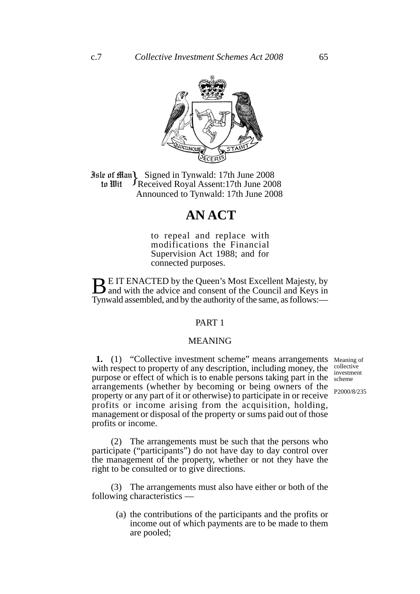

**Jule of Man)** Signed in Tynwald: 17th June 2008<br> **10 In Wit** FReceived Royal Assent: 17th June 200 Received Royal Assent:17th June 2008 Announced to Tynwald: 17th June 2008 to Wit

# **AN ACT**

to repeal and replace with modifications the Financial Supervision Act 1988; and for connected purposes.

**BUT ENACTED by the Queen's Most Excellent Majesty, by a** and with the advice and consent of the Council and Keys in Tynwald assembled, and by the authority of the same, as follows:—

### PART 1

### MEANING

1. (1) "Collective investment scheme" means arrangements Meaning of with respect to property of any description, including money, the purpose or effect of which is to enable persons taking part in the arrangements (whether by becoming or being owners of the property or any part of it or otherwise) to participate in or receive profits or income arising from the acquisition, holding, management or disposal of the property or sums paid out of those profits or income.

collective investment scheme

P2000/8/235

(2) The arrangements must be such that the persons who participate ("participants") do not have day to day control over the management of the property, whether or not they have the right to be consulted or to give directions.

(3) The arrangements must also have either or both of the following characteristics —

> (a) the contributions of the participants and the profits or income out of which payments are to be made to them are pooled;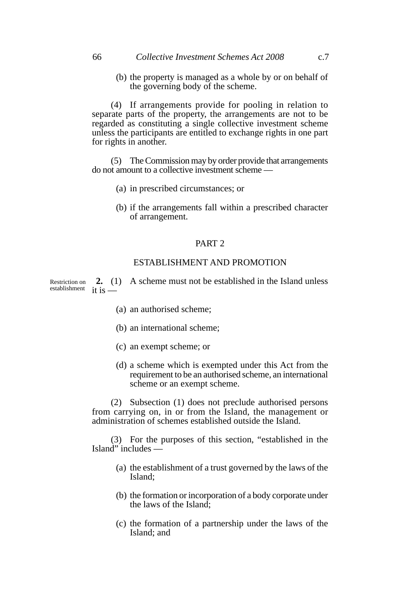#### 66 *Collective Investment Schemes Act 2008* c.7

(b) the property is managed as a whole by or on behalf of the governing body of the scheme.

(4) If arrangements provide for pooling in relation to separate parts of the property, the arrangements are not to be regarded as constituting a single collective investment scheme unless the participants are entitled to exchange rights in one part for rights in another.

(5) The Commission may by order provide that arrangements do not amount to a collective investment scheme —

- (a) in prescribed circumstances; or
- (b) if the arrangements fall within a prescribed character of arrangement.

### PART 2

#### ESTABLISHMENT AND PROMOTION

**2.** (1) A scheme must not be established in the Island unless it is — Restriction on establishment

- (a) an authorised scheme;
- (b) an international scheme;
- (c) an exempt scheme; or
- (d) a scheme which is exempted under this Act from the requirement to be an authorised scheme, an international scheme or an exempt scheme.

(2) Subsection (1) does not preclude authorised persons from carrying on, in or from the Island, the management or administration of schemes established outside the Island.

(3) For the purposes of this section, "established in the Island" includes —

- (a) the establishment of a trust governed by the laws of the Island;
- (b) the formation or incorporation of a body corporate under the laws of the Island;
- (c) the formation of a partnership under the laws of the Island; and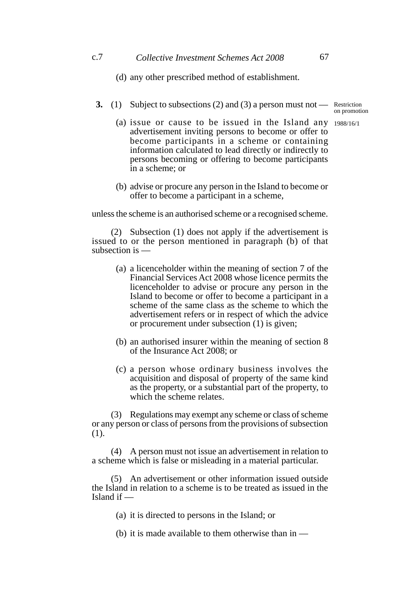#### c.7 *Collective Investment Schemes Act 2008* 67

(d) any other prescribed method of establishment.

**3.** (1) Subject to subsections (2) and (3) a person must not — Restriction

on promotion

- (a) issue or cause to be issued in the Island any 1988/16/1advertisement inviting persons to become or offer to become participants in a scheme or containing information calculated to lead directly or indirectly to persons becoming or offering to become participants in a scheme; or
- (b) advise or procure any person in the Island to become or offer to become a participant in a scheme,

unless the scheme is an authorised scheme or a recognised scheme.

(2) Subsection (1) does not apply if the advertisement is issued to or the person mentioned in paragraph (b) of that subsection is —

- (a) a licenceholder within the meaning of section 7 of the Financial Services Act 2008 whose licence permits the licenceholder to advise or procure any person in the Island to become or offer to become a participant in a scheme of the same class as the scheme to which the advertisement refers or in respect of which the advice or procurement under subsection (1) is given;
- (b) an authorised insurer within the meaning of section 8 of the Insurance Act 2008; or
- (c) a person whose ordinary business involves the acquisition and disposal of property of the same kind as the property, or a substantial part of the property, to which the scheme relates.

(3) Regulations may exempt any scheme or class of scheme or any person or class of persons from the provisions of subsection (1).

(4) A person must not issue an advertisement in relation to a scheme which is false or misleading in a material particular.

(5) An advertisement or other information issued outside the Island in relation to a scheme is to be treated as issued in the Island if —

(a) it is directed to persons in the Island; or

(b) it is made available to them otherwise than in —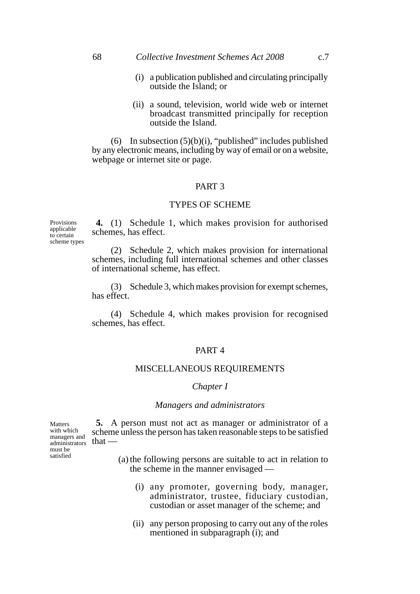- (i) a publication published and circulating principally outside the Island; or
- (ii) a sound, television, world wide web or internet broadcast transmitted principally for reception outside the Island.

(6) In subsection  $(5)(b)(i)$ , "published" includes published by any electronic means, including by way of email or on a website, webpage or internet site or page.

#### PART 3

#### TYPES OF SCHEME

**Provisions** applicable to certain scheme types

**4.** (1) Schedule 1, which makes provision for authorised schemes, has effect.

(2) Schedule 2, which makes provision for international schemes, including full international schemes and other classes of international scheme, has effect.

(3) Schedule 3, which makes provision for exempt schemes, has effect.

(4) Schedule 4, which makes provision for recognised schemes, has effect.

#### PART 4

#### MISCELLANEOUS REQUIREMENTS

#### *Chapter I*

#### *Managers and administrators*

 $_{\text{administrators}}$  that — **Matters** with which managers and must be satisfied

**5.** A person must not act as manager or administrator of a scheme unless the person has taken reasonable steps to be satisfied

- (a) the following persons are suitable to act in relation to the scheme in the manner envisaged —
	- (i) any promoter, governing body, manager, administrator, trustee, fiduciary custodian, custodian or asset manager of the scheme; and
	- (ii) any person proposing to carry out any of the roles mentioned in subparagraph (i); and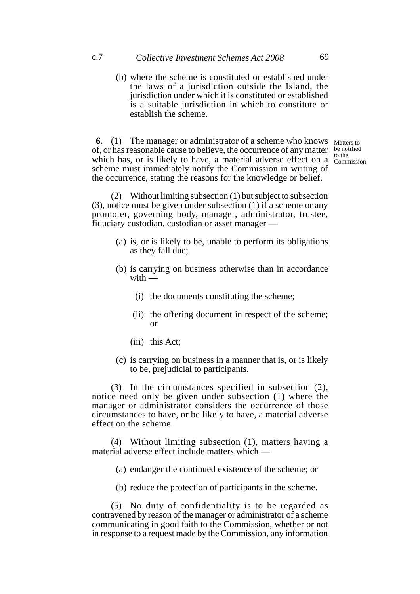(b) where the scheme is constituted or established under the laws of a jurisdiction outside the Island, the jurisdiction under which it is constituted or established is a suitable jurisdiction in which to constitute or establish the scheme.

**6.** (1) The manager or administrator of a scheme who knows Matters to of, or has reasonable cause to believe, the occurrence of any matter be notified which has, or is likely to have, a material adverse effect on a  $\frac{60 \text{ me}}{\text{Commission}}$ scheme must immediately notify the Commission in writing of the occurrence, stating the reasons for the knowledge or belief.

to the

(2) Without limiting subsection (1) but subject to subsection (3), notice must be given under subsection (1) if a scheme or any promoter, governing body, manager, administrator, trustee, fiduciary custodian, custodian or asset manager —

- (a) is, or is likely to be, unable to perform its obligations as they fall due;
- (b) is carrying on business otherwise than in accordance  $with$  —
	- (i) the documents constituting the scheme;
	- (ii) the offering document in respect of the scheme; or
	- (iii) this Act;
- (c) is carrying on business in a manner that is, or is likely to be, prejudicial to participants.

(3) In the circumstances specified in subsection (2), notice need only be given under subsection (1) where the manager or administrator considers the occurrence of those circumstances to have, or be likely to have, a material adverse effect on the scheme.

(4) Without limiting subsection (1), matters having a material adverse effect include matters which —

- (a) endanger the continued existence of the scheme; or
- (b) reduce the protection of participants in the scheme.

(5) No duty of confidentiality is to be regarded as contravened by reason of the manager or administrator of a scheme communicating in good faith to the Commission, whether or not in response to a request made by the Commission, any information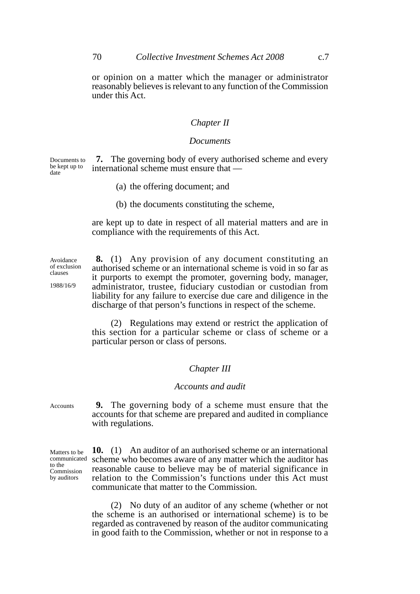or opinion on a matter which the manager or administrator reasonably believes is relevant to any function of the Commission under this Act.

### *Chapter II*

#### *Documents*

**7.** The governing body of every authorised scheme and every international scheme must ensure that — Documents to be kept up to date

- (a) the offering document; and
- (b) the documents constituting the scheme,

are kept up to date in respect of all material matters and are in compliance with the requirements of this Act.

**8.** (1) Any provision of any document constituting an authorised scheme or an international scheme is void in so far as it purports to exempt the promoter, governing body, manager, administrator, trustee, fiduciary custodian or custodian from liability for any failure to exercise due care and diligence in the discharge of that person's functions in respect of the scheme.

(2) Regulations may extend or restrict the application of this section for a particular scheme or class of scheme or a particular person or class of persons.

### *Chapter III*

#### *Accounts and audit*

**9.** The governing body of a scheme must ensure that the accounts for that scheme are prepared and audited in compliance with regulations.

Matters to be communicated to the Commission by auditors

Accounts

Avoidance of exclusion clauses 1988/16/9

> **10.** (1) An auditor of an authorised scheme or an international scheme who becomes aware of any matter which the auditor has reasonable cause to believe may be of material significance in relation to the Commission's functions under this Act must communicate that matter to the Commission.

> (2) No duty of an auditor of any scheme (whether or not the scheme is an authorised or international scheme) is to be regarded as contravened by reason of the auditor communicating in good faith to the Commission, whether or not in response to a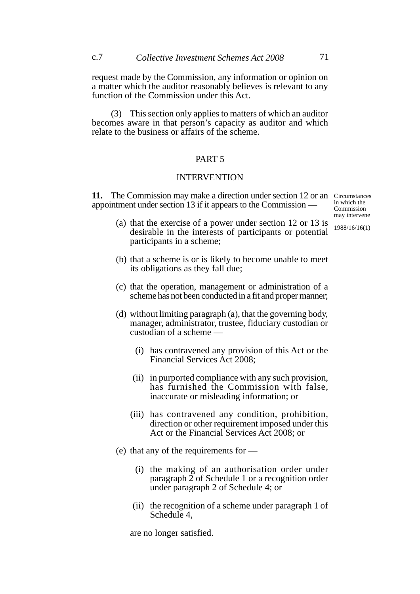request made by the Commission, any information or opinion on a matter which the auditor reasonably believes is relevant to any function of the Commission under this Act.

(3) This section only applies to matters of which an auditor becomes aware in that person's capacity as auditor and which relate to the business or affairs of the scheme.

### PART 5

### INTERVENTION

11. The Commission may make a direction under section 12 or an Circumstances appointment under section 13 if it appears to the Commission —

in which the Commission may intervene

1988/16/16(1)

- (a) that the exercise of a power under section 12 or 13 is desirable in the interests of participants or potential participants in a scheme;
- (b) that a scheme is or is likely to become unable to meet its obligations as they fall due;
- (c) that the operation, management or administration of a scheme has not been conducted in a fit and proper manner;
- (d) without limiting paragraph (a), that the governing body, manager, administrator, trustee, fiduciary custodian or custodian of a scheme —
	- (i) has contravened any provision of this Act or the Financial Services Act 2008;
	- (ii) in purported compliance with any such provision, has furnished the Commission with false, inaccurate or misleading information; or
	- (iii) has contravened any condition, prohibition, direction or other requirement imposed under this Act or the Financial Services Act 2008; or
- (e) that any of the requirements for
	- (i) the making of an authorisation order under paragraph  $\overline{2}$  of Schedule 1 or a recognition order under paragraph 2 of Schedule 4; or
	- (ii) the recognition of a scheme under paragraph 1 of Schedule 4,

are no longer satisfied.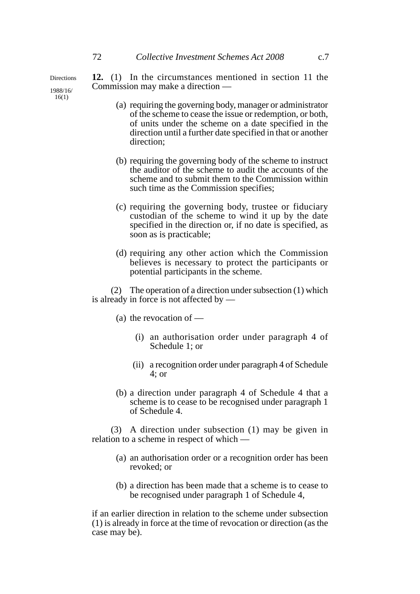**Directions** 1988/16/ 16(1)

**12.** (1) In the circumstances mentioned in section 11 the Commission may make a direction —

- (a) requiring the governing body, manager or administrator of the scheme to cease the issue or redemption, or both, of units under the scheme on a date specified in the direction until a further date specified in that or another direction;
- (b) requiring the governing body of the scheme to instruct the auditor of the scheme to audit the accounts of the scheme and to submit them to the Commission within such time as the Commission specifies;
- (c) requiring the governing body, trustee or fiduciary custodian of the scheme to wind it up by the date specified in the direction or, if no date is specified, as soon as is practicable;
- (d) requiring any other action which the Commission believes is necessary to protect the participants or potential participants in the scheme.

(2) The operation of a direction under subsection (1) which is already in force is not affected by —

- (a) the revocation of
	- (i) an authorisation order under paragraph 4 of Schedule 1; or
	- (ii) a recognition order under paragraph 4 of Schedule 4; or
- (b) a direction under paragraph 4 of Schedule 4 that a scheme is to cease to be recognised under paragraph 1 of Schedule 4.

(3) A direction under subsection (1) may be given in relation to a scheme in respect of which —

- (a) an authorisation order or a recognition order has been revoked; or
- (b) a direction has been made that a scheme is to cease to be recognised under paragraph 1 of Schedule 4,

if an earlier direction in relation to the scheme under subsection (1) is already in force at the time of revocation or direction (as the case may be).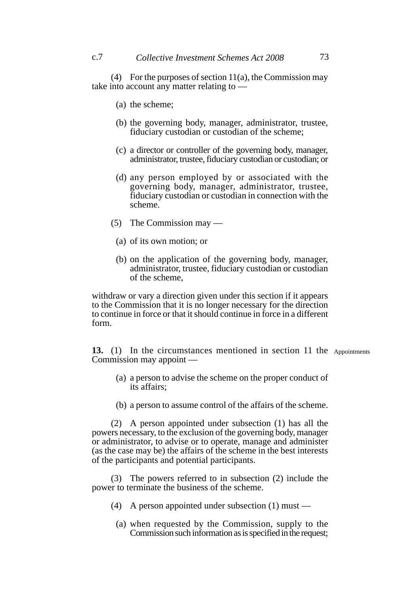(4) For the purposes of section  $11(a)$ , the Commission may take into account any matter relating to —

- (a) the scheme;
- (b) the governing body, manager, administrator, trustee, fiduciary custodian or custodian of the scheme;
- (c) a director or controller of the governing body, manager, administrator, trustee, fiduciary custodian or custodian; or
- (d) any person employed by or associated with the governing body, manager, administrator, trustee, fiduciary custodian or custodian in connection with the scheme.
- (5) The Commission may
	- (a) of its own motion; or
	- (b) on the application of the governing body, manager, administrator, trustee, fiduciary custodian or custodian of the scheme,

withdraw or vary a direction given under this section if it appears to the Commission that it is no longer necessary for the direction to continue in force or that it should continue in force in a different form.

13. (1) In the circumstances mentioned in section 11 the Appointments Commission may appoint —

- (a) a person to advise the scheme on the proper conduct of its affairs;
- (b) a person to assume control of the affairs of the scheme.

(2) A person appointed under subsection (1) has all the powers necessary, to the exclusion of the governing body, manager or administrator, to advise or to operate, manage and administer (as the case may be) the affairs of the scheme in the best interests of the participants and potential participants.

(3) The powers referred to in subsection (2) include the power to terminate the business of the scheme.

- (4) A person appointed under subsection (1) must
	- (a) when requested by the Commission, supply to the Commission such information as is specified in the request;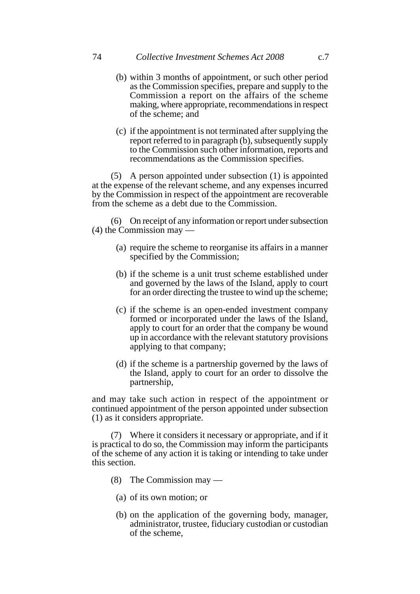- (b) within 3 months of appointment, or such other period as the Commission specifies, prepare and supply to the Commission a report on the affairs of the scheme making, where appropriate, recommendations in respect of the scheme; and
- (c) if the appointment is not terminated after supplying the report referred to in paragraph (b), subsequently supply to the Commission such other information, reports and recommendations as the Commission specifies.

(5) A person appointed under subsection (1) is appointed at the expense of the relevant scheme, and any expenses incurred by the Commission in respect of the appointment are recoverable from the scheme as a debt due to the Commission.

(6) On receipt of any information or report under subsection (4) the Commission may —

- (a) require the scheme to reorganise its affairs in a manner specified by the Commission;
- (b) if the scheme is a unit trust scheme established under and governed by the laws of the Island, apply to court for an order directing the trustee to wind up the scheme;
- (c) if the scheme is an open-ended investment company formed or incorporated under the laws of the Island, apply to court for an order that the company be wound up in accordance with the relevant statutory provisions applying to that company;
- (d) if the scheme is a partnership governed by the laws of the Island, apply to court for an order to dissolve the partnership,

and may take such action in respect of the appointment or continued appointment of the person appointed under subsection (1) as it considers appropriate.

(7) Where it considers it necessary or appropriate, and if it is practical to do so, the Commission may inform the participants of the scheme of any action it is taking or intending to take under this section.

- (8) The Commission may
	- (a) of its own motion; or
	- (b) on the application of the governing body, manager, administrator, trustee, fiduciary custodian or custodian of the scheme,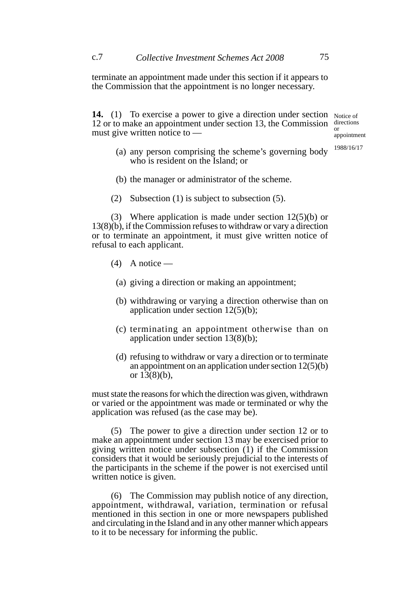terminate an appointment made under this section if it appears to the Commission that the appointment is no longer necessary.

**14.** (1) To exercise a power to give a direction under section Notice of 12 or to make an appointment under section 13, the Commission must give written notice to or

directions appointment

- (a) any person comprising the scheme's governing body who is resident on the Island; or 1988/16/17
- (b) the manager or administrator of the scheme.
- (2) Subsection (1) is subject to subsection (5).

(3) Where application is made under section 12(5)(b) or 13(8)(b), if the Commission refuses to withdraw or vary a direction or to terminate an appointment, it must give written notice of refusal to each applicant.

- $(4)$  A notice
	- (a) giving a direction or making an appointment;
	- (b) withdrawing or varying a direction otherwise than on application under section 12(5)(b);
	- (c) terminating an appointment otherwise than on application under section 13(8)(b);
	- (d) refusing to withdraw or vary a direction or to terminate an appointment on an application under section 12(5)(b) or  $13(8)(b)$ ,

must state the reasons for which the direction was given, withdrawn or varied or the appointment was made or terminated or why the application was refused (as the case may be).

(5) The power to give a direction under section 12 or to make an appointment under section 13 may be exercised prior to giving written notice under subsection (1) if the Commission considers that it would be seriously prejudicial to the interests of the participants in the scheme if the power is not exercised until written notice is given.

(6) The Commission may publish notice of any direction, appointment, withdrawal, variation, termination or refusal mentioned in this section in one or more newspapers published and circulating in the Island and in any other manner which appears to it to be necessary for informing the public.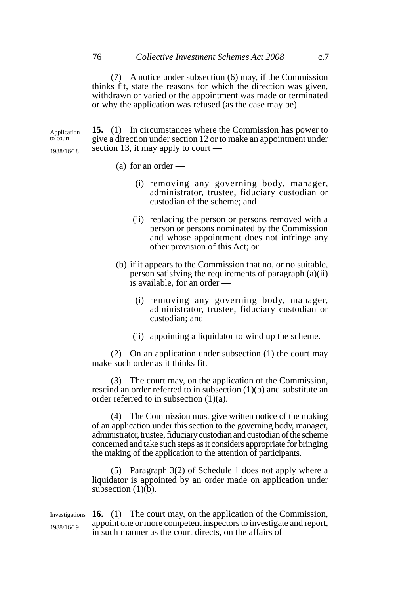(7) A notice under subsection (6) may, if the Commission thinks fit, state the reasons for which the direction was given, withdrawn or varied or the appointment was made or terminated or why the application was refused (as the case may be).

**15.** (1) In circumstances where the Commission has power to give a direction under section 12 or to make an appointment under section 13, it may apply to court — Application to court 1988/16/18

- (a) for an order
	- (i) removing any governing body, manager, administrator, trustee, fiduciary custodian or custodian of the scheme; and
	- (ii) replacing the person or persons removed with a person or persons nominated by the Commission and whose appointment does not infringe any other provision of this Act; or
- (b) if it appears to the Commission that no, or no suitable, person satisfying the requirements of paragraph (a)(ii) is available, for an order —
	- (i) removing any governing body, manager, administrator, trustee, fiduciary custodian or custodian; and
	- (ii) appointing a liquidator to wind up the scheme.

(2) On an application under subsection (1) the court may make such order as it thinks fit.

(3) The court may, on the application of the Commission, rescind an order referred to in subsection (1)(b) and substitute an order referred to in subsection (1)(a).

(4) The Commission must give written notice of the making of an application under this section to the governing body, manager, administrator, trustee, fiduciary custodian and custodian of the scheme concerned and take such steps as it considers appropriate for bringing the making of the application to the attention of participants.

(5) Paragraph 3(2) of Schedule 1 does not apply where a liquidator is appointed by an order made on application under subsection  $(1)(b)$ .

Investigations **16.** (1) The court may, on the application of the Commission, appoint one or more competent inspectors to investigate and report, in such manner as the court directs, on the affairs of — 1988/16/19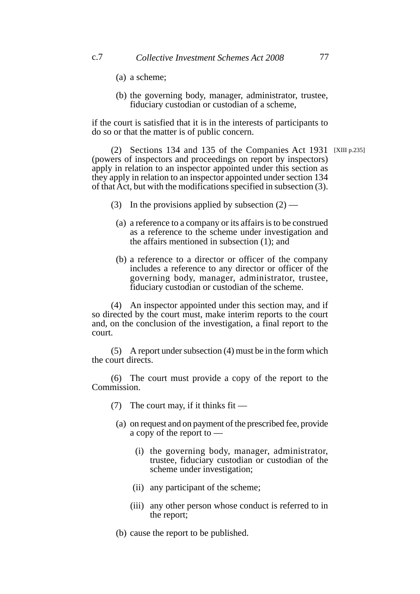- (a) a scheme;
- (b) the governing body, manager, administrator, trustee, fiduciary custodian or custodian of a scheme,

if the court is satisfied that it is in the interests of participants to do so or that the matter is of public concern.

(2) Sections 134 and 135 of the Companies Act 1931 [XIII p.235](powers of inspectors and proceedings on report by inspectors) apply in relation to an inspector appointed under this section as they apply in relation to an inspector appointed under section 134 of that Act, but with the modifications specified in subsection (3).

- (3) In the provisions applied by subsection  $(2)$ 
	- (a) a reference to a company or its affairs is to be construed as a reference to the scheme under investigation and the affairs mentioned in subsection (1); and
	- (b) a reference to a director or officer of the company includes a reference to any director or officer of the governing body, manager, administrator, trustee, fiduciary custodian or custodian of the scheme.

(4) An inspector appointed under this section may, and if so directed by the court must, make interim reports to the court and, on the conclusion of the investigation, a final report to the court.

(5) A report under subsection (4) must be in the form which the court directs.

(6) The court must provide a copy of the report to the Commission.

- (7) The court may, if it thinks fit
	- (a) on request and on payment of the prescribed fee, provide a copy of the report to —
		- (i) the governing body, manager, administrator, trustee, fiduciary custodian or custodian of the scheme under investigation;
		- (ii) any participant of the scheme;
		- (iii) any other person whose conduct is referred to in the report;
- (b) cause the report to be published.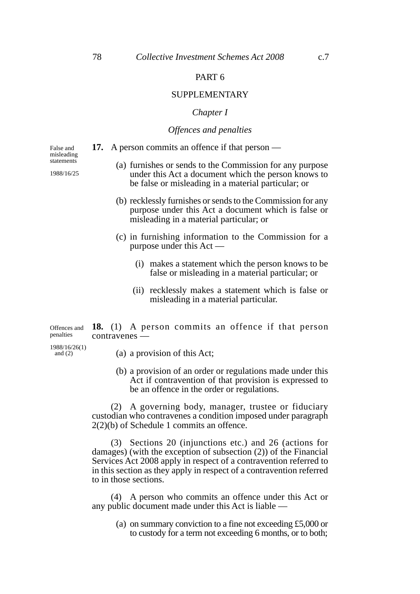### PART 6

#### SUPPLEMENTARY

#### *Chapter I*

### *Offences and penalties*

**17.** A person commits an offence if that person —

False and misleading statements

1988/16/25

- (a) furnishes or sends to the Commission for any purpose under this Act a document which the person knows to be false or misleading in a material particular; or
- (b) recklessly furnishes or sends to the Commission for any purpose under this Act a document which is false or misleading in a material particular; or
- (c) in furnishing information to the Commission for a purpose under this Act —
	- (i) makes a statement which the person knows to be false or misleading in a material particular; or
	- (ii) recklessly makes a statement which is false or misleading in a material particular.

**18.** (1) A person commits an offence if that person contravenes — Offences and penalties

1988/16/26(1) and  $(2)$ 

- (a) a provision of this Act;
- (b) a provision of an order or regulations made under this Act if contravention of that provision is expressed to be an offence in the order or regulations.

(2) A governing body, manager, trustee or fiduciary custodian who contravenes a condition imposed under paragraph 2(2)(b) of Schedule 1 commits an offence.

(3) Sections 20 (injunctions etc.) and 26 (actions for damages) (with the exception of subsection (2)) of the Financial Services Act 2008 apply in respect of a contravention referred to in this section as they apply in respect of a contravention referred to in those sections.

(4) A person who commits an offence under this Act or any public document made under this Act is liable —

(a) on summary conviction to a fine not exceeding £5,000 or to custody for a term not exceeding 6 months, or to both;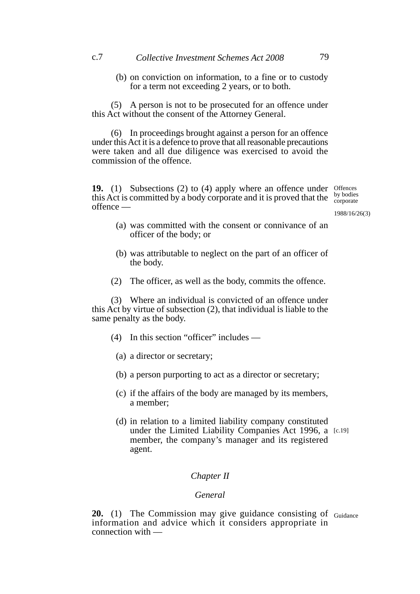(b) on conviction on information, to a fine or to custody for a term not exceeding 2 years, or to both.

(5) A person is not to be prosecuted for an offence under this Act without the consent of the Attorney General.

(6) In proceedings brought against a person for an offence under this Act it is a defence to prove that all reasonable precautions were taken and all due diligence was exercised to avoid the commission of the offence.

19. (1) Subsections (2) to (4) apply where an offence under Offences this Act is committed by a body corporate and it is proved that the offence by bodies corporate

1988/16/26(3)

- (a) was committed with the consent or connivance of an officer of the body; or
- (b) was attributable to neglect on the part of an officer of the body.
- (2) The officer, as well as the body, commits the offence.

(3) Where an individual is convicted of an offence under this Act by virtue of subsection (2), that individual is liable to the same penalty as the body.

- (4) In this section "officer" includes
	- (a) a director or secretary;
	- (b) a person purporting to act as a director or secretary;
	- (c) if the affairs of the body are managed by its members, a member;
	- (d) in relation to a limited liability company constituted under the Limited Liability Companies Act 1996, a [c.19]member, the company's manager and its registered agent.

### *Chapter II*

#### *General*

**20.** (1) The Commission may give guidance consisting of information and advice which it considers appropriate in connection with — Guidance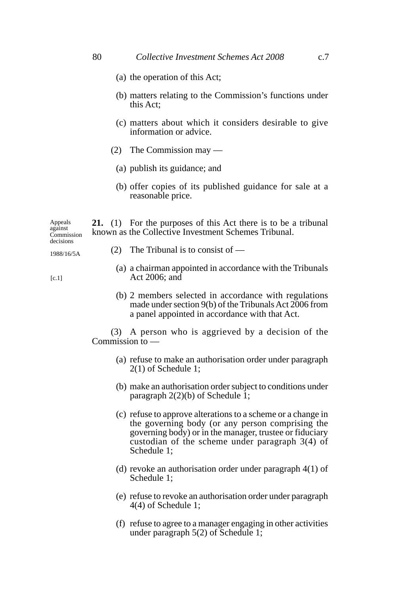- (a) the operation of this Act;
- (b) matters relating to the Commission's functions under this Act;
- (c) matters about which it considers desirable to give information or advice.
- (2) The Commission may
	- (a) publish its guidance; and
	- (b) offer copies of its published guidance for sale at a reasonable price.

**21.** (1) For the purposes of this Act there is to be a tribunal known as the Collective Investment Schemes Tribunal. Appeals against Commission decisions

1988/16/5A

- (2) The Tribunal is to consist of —
- (a) a chairman appointed in accordance with the Tribunals Act 2006; and
- (b) 2 members selected in accordance with regulations made under section 9(b) of the Tribunals Act 2006 from a panel appointed in accordance with that Act.

(3) A person who is aggrieved by a decision of the Commission to —

- (a) refuse to make an authorisation order under paragraph 2(1) of Schedule 1;
- (b) make an authorisation order subject to conditions under paragraph 2(2)(b) of Schedule 1;
- (c) refuse to approve alterations to a scheme or a change in the governing body (or any person comprising the governing body) or in the manager, trustee or fiduciary custodian of the scheme under paragraph 3(4) of Schedule 1;
- (d) revoke an authorisation order under paragraph 4(1) of Schedule 1;
- (e) refuse to revoke an authorisation order under paragraph 4(4) of Schedule 1;
- (f) refuse to agree to a manager engaging in other activities under paragraph 5(2) of Schedule 1;

 $[c.1]$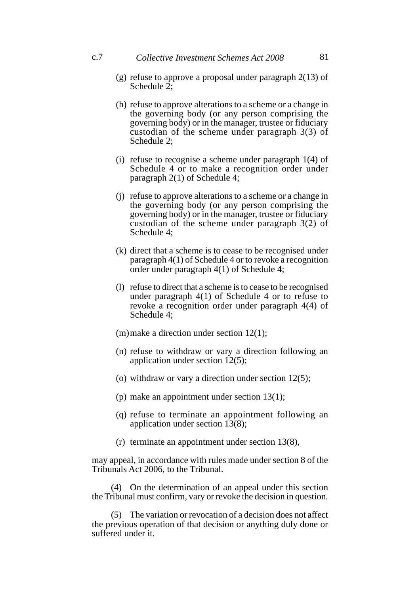c.7 *Collective Investment Schemes Act 2008* 81

- (g) refuse to approve a proposal under paragraph 2(13) of Schedule 2:
- (h) refuse to approve alterations to a scheme or a change in the governing body (or any person comprising the governing body) or in the manager, trustee or fiduciary custodian of the scheme under paragraph 3(3) of Schedule 2;
- (i) refuse to recognise a scheme under paragraph 1(4) of Schedule 4 or to make a recognition order under paragraph 2(1) of Schedule 4;
- (j) refuse to approve alterations to a scheme or a change in the governing body (or any person comprising the governing body) or in the manager, trustee or fiduciary custodian of the scheme under paragraph 3(2) of Schedule 4;
- (k) direct that a scheme is to cease to be recognised under paragraph 4(1) of Schedule 4 or to revoke a recognition order under paragraph 4(1) of Schedule 4;
- (l) refuse to direct that a scheme is to cease to be recognised under paragraph 4(1) of Schedule 4 or to refuse to revoke a recognition order under paragraph 4(4) of Schedule 4;
- (m)make a direction under section 12(1);
- (n) refuse to withdraw or vary a direction following an application under section 12(5);
- (o) withdraw or vary a direction under section  $12(5)$ ;
- (p) make an appointment under section 13(1);
- (q) refuse to terminate an appointment following an application under section 13(8);
- (r) terminate an appointment under section 13(8),

may appeal, in accordance with rules made under section 8 of the Tribunals Act 2006, to the Tribunal.

(4) On the determination of an appeal under this section the Tribunal must confirm, vary or revoke the decision in question.

(5) The variation or revocation of a decision does not affect the previous operation of that decision or anything duly done or suffered under it.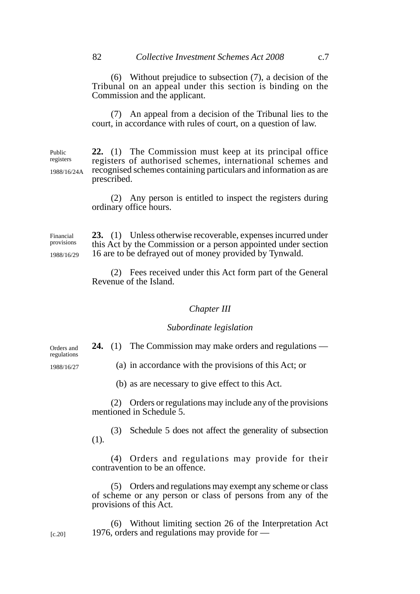(6) Without prejudice to subsection (7), a decision of the Tribunal on an appeal under this section is binding on the Commission and the applicant.

(7) An appeal from a decision of the Tribunal lies to the court, in accordance with rules of court, on a question of law.

**22.** (1) The Commission must keep at its principal office registers of authorised schemes, international schemes and recognised schemes containing particulars and information as are prescribed. Public registers 1988/16/24A

> (2) Any person is entitled to inspect the registers during ordinary office hours.

**23.** (1) Unless otherwise recoverable, expenses incurred under this Act by the Commission or a person appointed under section 16 are to be defrayed out of money provided by Tynwald. Financial provisions 1988/16/29

> (2) Fees received under this Act form part of the General Revenue of the Island.

#### *Chapter III*

#### *Subordinate legislation*

**24.** (1) The Commission may make orders and regulations —

regulations 1988/16/27

Orders and

(a) in accordance with the provisions of this Act; or

(b) as are necessary to give effect to this Act.

(2) Orders or regulations may include any of the provisions mentioned in Schedule 5.

(3) Schedule 5 does not affect the generality of subsection (1).

(4) Orders and regulations may provide for their contravention to be an offence.

(5) Orders and regulations may exempt any scheme or class of scheme or any person or class of persons from any of the provisions of this Act.

(6) Without limiting section 26 of the Interpretation Act 1976, orders and regulations may provide for —

[c.20]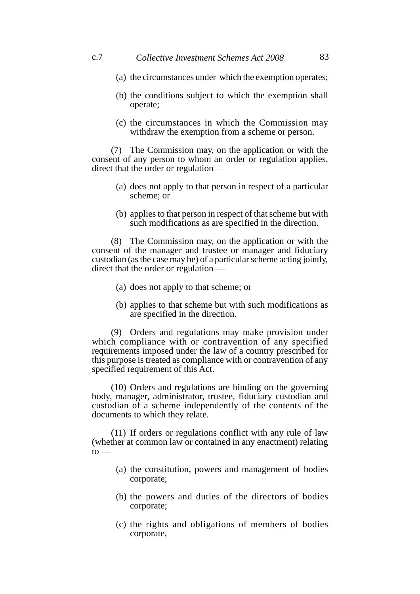- (a) the circumstances under which the exemption operates;
- (b) the conditions subject to which the exemption shall operate;
- (c) the circumstances in which the Commission may withdraw the exemption from a scheme or person.

(7) The Commission may, on the application or with the consent of any person to whom an order or regulation applies, direct that the order or regulation —

- (a) does not apply to that person in respect of a particular scheme; or
- (b) applies to that person in respect of that scheme but with such modifications as are specified in the direction.

(8) The Commission may, on the application or with the consent of the manager and trustee or manager and fiduciary custodian (as the case may be) of a particular scheme acting jointly, direct that the order or regulation —

- (a) does not apply to that scheme; or
- (b) applies to that scheme but with such modifications as are specified in the direction.

(9) Orders and regulations may make provision under which compliance with or contravention of any specified requirements imposed under the law of a country prescribed for this purpose is treated as compliance with or contravention of any specified requirement of this Act.

(10) Orders and regulations are binding on the governing body, manager, administrator, trustee, fiduciary custodian and custodian of a scheme independently of the contents of the documents to which they relate.

(11) If orders or regulations conflict with any rule of law (whether at common law or contained in any enactment) relating  $to$ 

- (a) the constitution, powers and management of bodies corporate;
- (b) the powers and duties of the directors of bodies corporate;
- (c) the rights and obligations of members of bodies corporate,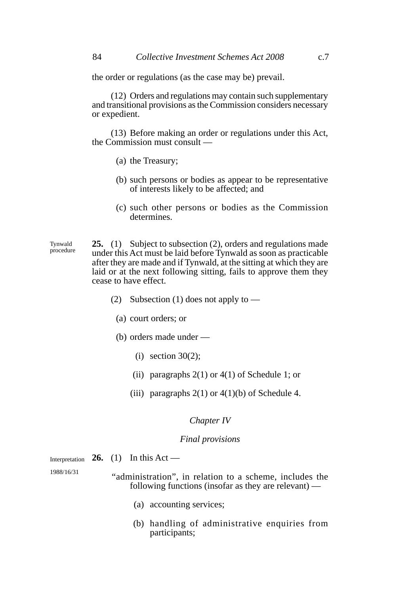the order or regulations (as the case may be) prevail.

(12) Orders and regulations may contain such supplementary and transitional provisions as the Commission considers necessary or expedient.

(13) Before making an order or regulations under this Act, the Commission must consult —

- (a) the Treasury;
- (b) such persons or bodies as appear to be representative of interests likely to be affected; and
- (c) such other persons or bodies as the Commission determines.

**25.** (1) Subject to subsection (2), orders and regulations made under this Act must be laid before Tynwald as soon as practicable after they are made and if Tynwald, at the sitting at which they are laid or at the next following sitting, fails to approve them they cease to have effect. Tynwald procedure

- (2) Subsection (1) does not apply to
	- (a) court orders; or
	- (b) orders made under
		- (i) section  $30(2)$ ;
		- (ii) paragraphs  $2(1)$  or  $4(1)$  of Schedule 1; or
		- (iii) paragraphs  $2(1)$  or  $4(1)(b)$  of Schedule 4.

#### *Chapter IV*

#### *Final provisions*

**26.** (1) In this Act — Interpretation

1988/16/31

- "administration", in relation to a scheme, includes the following functions (insofar as they are relevant) —
	- (a) accounting services;
	- (b) handling of administrative enquiries from participants;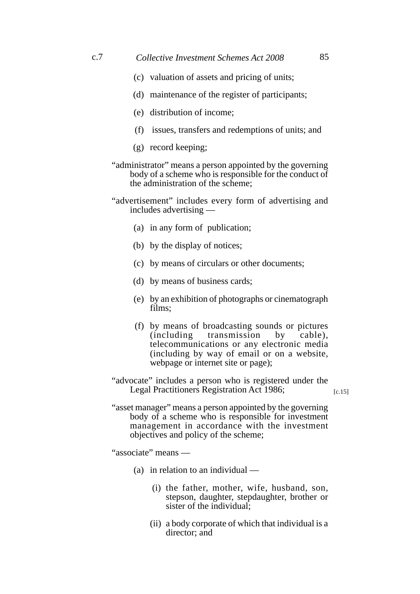- (c) valuation of assets and pricing of units;
- (d) maintenance of the register of participants;
- (e) distribution of income;
- (f) issues, transfers and redemptions of units; and
- (g) record keeping;
- "administrator" means a person appointed by the governing body of a scheme who is responsible for the conduct of the administration of the scheme;
- "advertisement" includes every form of advertising and includes advertising —
	- (a) in any form of publication;
	- (b) by the display of notices;
	- (c) by means of circulars or other documents;
	- (d) by means of business cards;
	- (e) by an exhibition of photographs or cinematograph films;
	- (f) by means of broadcasting sounds or pictures (including transmission by cable), telecommunications or any electronic media (including by way of email or on a website, webpage or internet site or page);
- "advocate" includes a person who is registered under the Legal Practitioners Registration Act 1986;

 $[c.15]$ 

"asset manager" means a person appointed by the governing body of a scheme who is responsible for investment management in accordance with the investment objectives and policy of the scheme;

"associate" means —

- (a) in relation to an individual
	- (i) the father, mother, wife, husband, son, stepson, daughter, stepdaughter, brother or sister of the individual:
	- (ii) a body corporate of which that individual is a director; and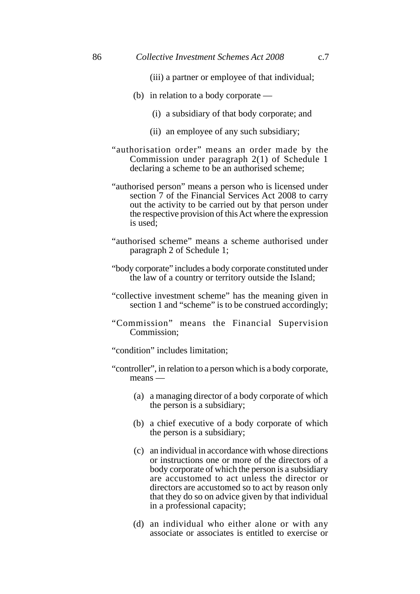- (iii) a partner or employee of that individual;
- (b) in relation to a body corporate
	- (i) a subsidiary of that body corporate; and
	- (ii) an employee of any such subsidiary;
- "authorisation order" means an order made by the Commission under paragraph 2(1) of Schedule 1 declaring a scheme to be an authorised scheme;
- "authorised person" means a person who is licensed under section  $\overline{7}$  of the Financial Services Act 2008 to carry out the activity to be carried out by that person under the respective provision of this Act where the expression is used;
- "authorised scheme" means a scheme authorised under paragraph 2 of Schedule 1;
- "body corporate" includes a body corporate constituted under the law of a country or territory outside the Island;
- "collective investment scheme" has the meaning given in section 1 and "scheme" is to be construed accordingly:
- "Commission" means the Financial Supervision Commission;
- "condition" includes limitation;
- "controller", in relation to a person which is a body corporate, means —
	- (a) a managing director of a body corporate of which the person is a subsidiary;
	- (b) a chief executive of a body corporate of which the person is a subsidiary;
	- (c) an individual in accordance with whose directions or instructions one or more of the directors of a body corporate of which the person is a subsidiary are accustomed to act unless the director or directors are accustomed so to act by reason only that they do so on advice given by that individual in a professional capacity;
	- (d) an individual who either alone or with any associate or associates is entitled to exercise or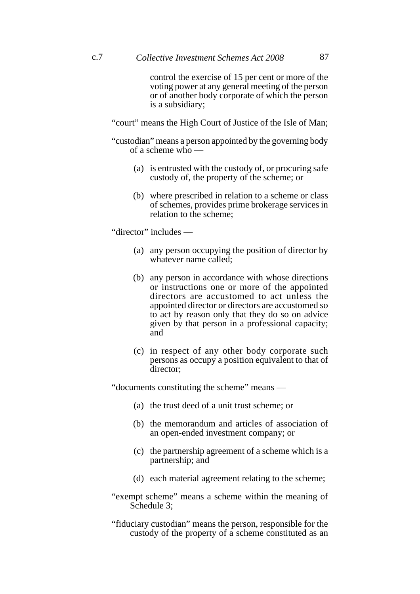control the exercise of 15 per cent or more of the voting power at any general meeting of the person or of another body corporate of which the person is a subsidiary;

"court" means the High Court of Justice of the Isle of Man;

"custodian" means a person appointed by the governing body of a scheme who —

- (a) is entrusted with the custody of, or procuring safe custody of, the property of the scheme; or
- (b) where prescribed in relation to a scheme or class of schemes, provides prime brokerage services in relation to the scheme;

"director" includes —

- (a) any person occupying the position of director by whatever name called;
- (b) any person in accordance with whose directions or instructions one or more of the appointed directors are accustomed to act unless the appointed director or directors are accustomed so to act by reason only that they do so on advice given by that person in a professional capacity; and
- (c) in respect of any other body corporate such persons as occupy a position equivalent to that of director;

"documents constituting the scheme" means —

- (a) the trust deed of a unit trust scheme; or
- (b) the memorandum and articles of association of an open-ended investment company; or
- (c) the partnership agreement of a scheme which is a partnership; and
- (d) each material agreement relating to the scheme;
- "exempt scheme" means a scheme within the meaning of Schedule 3:

"fiduciary custodian" means the person, responsible for the custody of the property of a scheme constituted as an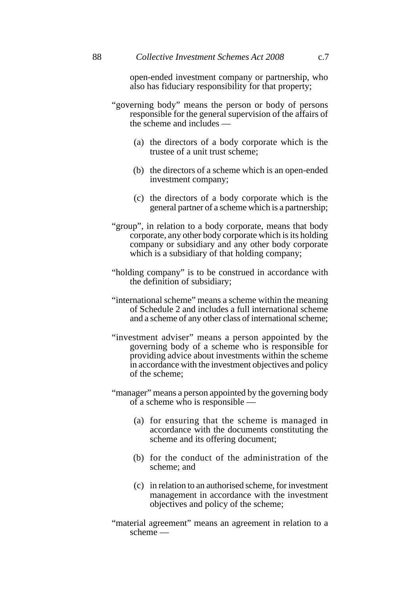open-ended investment company or partnership, who also has fiduciary responsibility for that property;

- "governing body" means the person or body of persons responsible for the general supervision of the affairs of the scheme and includes —
	- (a) the directors of a body corporate which is the trustee of a unit trust scheme;
	- (b) the directors of a scheme which is an open-ended investment company;
	- (c) the directors of a body corporate which is the general partner of a scheme which is a partnership;
- "group", in relation to a body corporate, means that body corporate, any other body corporate which is its holding company or subsidiary and any other body corporate which is a subsidiary of that holding company;
- "holding company" is to be construed in accordance with the definition of subsidiary;
- "international scheme" means a scheme within the meaning of Schedule 2 and includes a full international scheme and a scheme of any other class of international scheme;
- "investment adviser" means a person appointed by the governing body of a scheme who is responsible for providing advice about investments within the scheme in accordance with the investment objectives and policy of the scheme;
- "manager" means a person appointed by the governing body of a scheme who is responsible —
	- (a) for ensuring that the scheme is managed in accordance with the documents constituting the scheme and its offering document;
	- (b) for the conduct of the administration of the scheme; and
	- (c) in relation to an authorised scheme, for investment management in accordance with the investment objectives and policy of the scheme;
- "material agreement" means an agreement in relation to a scheme —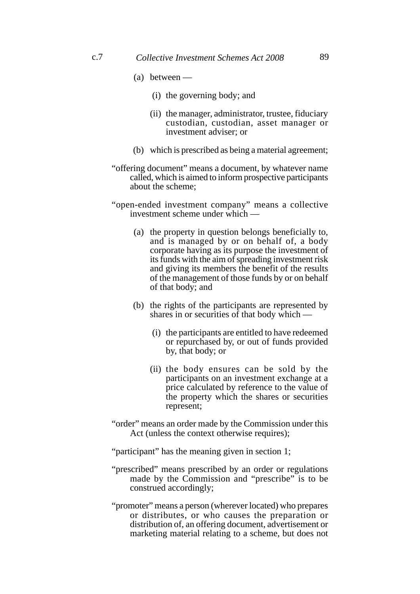- (a) between
	- (i) the governing body; and
	- (ii) the manager, administrator, trustee, fiduciary custodian, custodian, asset manager or investment adviser; or
- (b) which is prescribed as being a material agreement;
- "offering document" means a document, by whatever name called, which is aimed to inform prospective participants about the scheme;
- "open-ended investment company" means a collective investment scheme under which —
	- (a) the property in question belongs beneficially to, and is managed by or on behalf of, a body corporate having as its purpose the investment of its funds with the aim of spreading investment risk and giving its members the benefit of the results of the management of those funds by or on behalf of that body; and
	- (b) the rights of the participants are represented by shares in or securities of that body which —
		- (i) the participants are entitled to have redeemed or repurchased by, or out of funds provided by, that body; or
		- (ii) the body ensures can be sold by the participants on an investment exchange at a price calculated by reference to the value of the property which the shares or securities represent;
- "order" means an order made by the Commission under this Act (unless the context otherwise requires);
- "participant" has the meaning given in section 1;
- "prescribed" means prescribed by an order or regulations made by the Commission and "prescribe" is to be construed accordingly;
- "promoter" means a person (wherever located) who prepares or distributes, or who causes the preparation or distribution of, an offering document, advertisement or marketing material relating to a scheme, but does not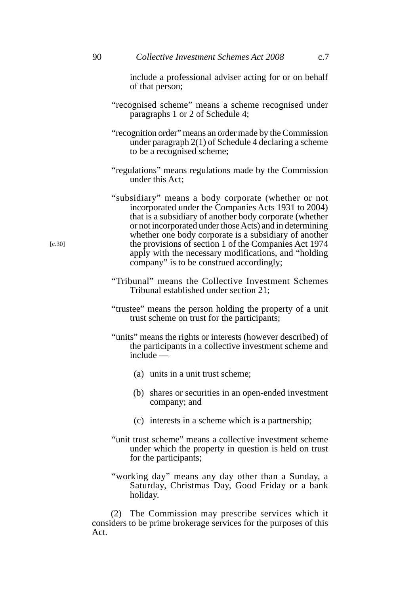include a professional adviser acting for or on behalf of that person;

- "recognised scheme" means a scheme recognised under paragraphs 1 or 2 of Schedule 4;
- "recognition order" means an order made by the Commission under paragraph 2(1) of Schedule 4 declaring a scheme to be a recognised scheme;
- "regulations" means regulations made by the Commission under this Act;
- "subsidiary" means a body corporate (whether or not incorporated under the Companies Acts 1931 to 2004) that is a subsidiary of another body corporate (whether or not incorporated under those Acts) and in determining whether one body corporate is a subsidiary of another the provisions of section 1 of the Companies Act 1974 apply with the necessary modifications, and "holding company" is to be construed accordingly;
- "Tribunal" means the Collective Investment Schemes Tribunal established under section 21;
- "trustee" means the person holding the property of a unit trust scheme on trust for the participants;
- "units" means the rights or interests (however described) of the participants in a collective investment scheme and  $\int$ include —
	- (a) units in a unit trust scheme;
	- (b) shares or securities in an open-ended investment company; and
	- (c) interests in a scheme which is a partnership;
- "unit trust scheme" means a collective investment scheme under which the property in question is held on trust for the participants;
- "working day" means any day other than a Sunday, a Saturday, Christmas Day, Good Friday or a bank holiday.

(2) The Commission may prescribe services which it considers to be prime brokerage services for the purposes of this Act.

[c.30]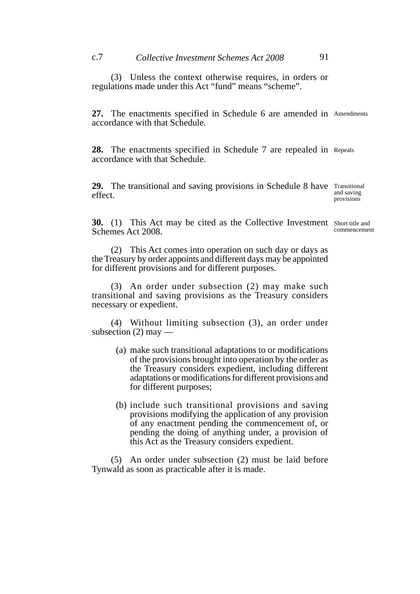(3) Unless the context otherwise requires, in orders or regulations made under this Act "fund" means "scheme".

**27.** The enactments specified in Schedule 6 are amended in Amendments accordance with that Schedule.

28. The enactments specified in Schedule 7 are repealed in Repeals accordance with that Schedule.

**29.** The transitional and saving provisions in Schedule 8 have Transitional effect.

and saving provisions

**30.** (1) This Act may be cited as the Collective Investment Short title and Schemes Act 2008.

commencement

(2) This Act comes into operation on such day or days as the Treasury by order appoints and different days may be appointed for different provisions and for different purposes.

(3) An order under subsection (2) may make such transitional and saving provisions as the Treasury considers necessary or expedient.

(4) Without limiting subsection (3), an order under subsection (2) may —

- (a) make such transitional adaptations to or modifications of the provisions brought into operation by the order as the Treasury considers expedient, including different adaptations or modifications for different provisions and for different purposes;
- (b) include such transitional provisions and saving provisions modifying the application of any provision of any enactment pending the commencement of, or pending the doing of anything under, a provision of this Act as the Treasury considers expedient.

(5) An order under subsection (2) must be laid before Tynwald as soon as practicable after it is made.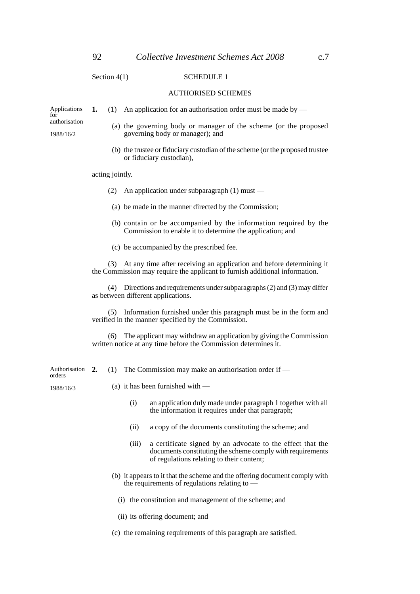Section 4(1) SCHEDULE 1

#### AUTHORISED SCHEMES

**1.** (1) An application for an authorisation order must be made by —

Applications for authorisation

1988/16/2

- (a) the governing body or manager of the scheme (or the proposed governing body or manager); and
- (b) the trustee or fiduciary custodian of the scheme (or the proposed trustee or fiduciary custodian),

acting jointly.

- (2) An application under subparagraph (1) must —
- (a) be made in the manner directed by the Commission;
- (b) contain or be accompanied by the information required by the Commission to enable it to determine the application; and
- (c) be accompanied by the prescribed fee.

(3) At any time after receiving an application and before determining it the Commission may require the applicant to furnish additional information.

(4) Directions and requirements under subparagraphs (2) and (3) may differ as between different applications.

(5) Information furnished under this paragraph must be in the form and verified in the manner specified by the Commission.

(6) The applicant may withdraw an application by giving the Commission written notice at any time before the Commission determines it.

**2.** (1) The Commission may make an authorisation order if — Authorisation 2. orders

1988/16/3

- (a) it has been furnished with
	- (i) an application duly made under paragraph 1 together with all the information it requires under that paragraph;
	- (ii) a copy of the documents constituting the scheme; and
	- (iii) a certificate signed by an advocate to the effect that the documents constituting the scheme comply with requirements of regulations relating to their content;
- (b) it appears to it that the scheme and the offering document comply with the requirements of regulations relating to —
	- (i) the constitution and management of the scheme; and
	- (ii) its offering document; and
- (c) the remaining requirements of this paragraph are satisfied.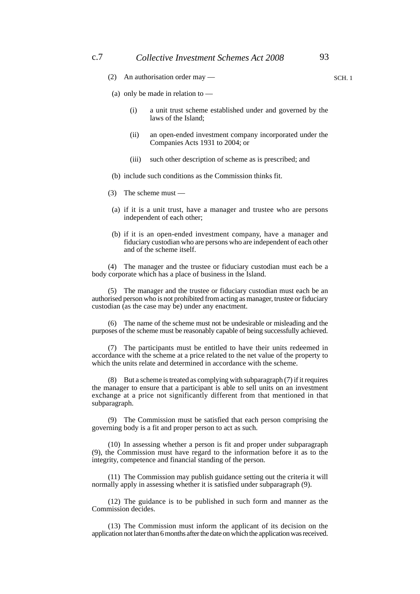- (a) only be made in relation to
	- (i) a unit trust scheme established under and governed by the laws of the Island;
	- (ii) an open-ended investment company incorporated under the Companies Acts 1931 to 2004; or
	- (iii) such other description of scheme as is prescribed; and
- (b) include such conditions as the Commission thinks fit.
- (3) The scheme must —
- (a) if it is a unit trust, have a manager and trustee who are persons independent of each other;
- (b) if it is an open-ended investment company, have a manager and fiduciary custodian who are persons who are independent of each other and of the scheme itself.

(4) The manager and the trustee or fiduciary custodian must each be a body corporate which has a place of business in the Island.

(5) The manager and the trustee or fiduciary custodian must each be an authorised person who is not prohibited from acting as manager, trustee or fiduciary custodian (as the case may be) under any enactment.

(6) The name of the scheme must not be undesirable or misleading and the purposes of the scheme must be reasonably capable of being successfully achieved.

(7) The participants must be entitled to have their units redeemed in accordance with the scheme at a price related to the net value of the property to which the units relate and determined in accordance with the scheme.

(8) But a scheme is treated as complying with subparagraph (7) if it requires the manager to ensure that a participant is able to sell units on an investment exchange at a price not significantly different from that mentioned in that subparagraph.

(9) The Commission must be satisfied that each person comprising the governing body is a fit and proper person to act as such.

(10) In assessing whether a person is fit and proper under subparagraph (9), the Commission must have regard to the information before it as to the integrity, competence and financial standing of the person.

(11) The Commission may publish guidance setting out the criteria it will normally apply in assessing whether it is satisfied under subparagraph (9).

(12) The guidance is to be published in such form and manner as the Commission decides.

(13) The Commission must inform the applicant of its decision on the application not later than 6 months after the date on which the application was received.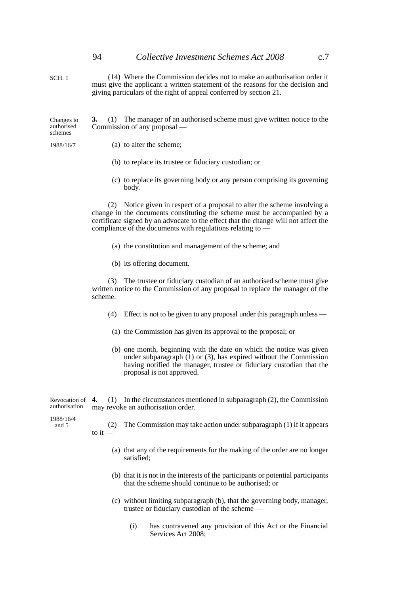SCH. 1

(14) Where the Commission decides not to make an authorisation order it must give the applicant a written statement of the reasons for the decision and giving particulars of the right of appeal conferred by section 21.

**3.** (1) The manager of an authorised scheme must give written notice to the Commission of any proposal — Changes to authorised schemes

1988/16/7

(a) to alter the scheme;

- (b) to replace its trustee or fiduciary custodian; or
- (c) to replace its governing body or any person comprising its governing body.

(2) Notice given in respect of a proposal to alter the scheme involving a change in the documents constituting the scheme must be accompanied by a certificate signed by an advocate to the effect that the change will not affect the compliance of the documents with regulations relating to —

- (a) the constitution and management of the scheme; and
- (b) its offering document.

(3) The trustee or fiduciary custodian of an authorised scheme must give written notice to the Commission of any proposal to replace the manager of the scheme.

- (4) Effect is not to be given to any proposal under this paragraph unless —
- (a) the Commission has given its approval to the proposal; or
- (b) one month, beginning with the date on which the notice was given under subparagraph (1) or (3), has expired without the Commission having notified the manager, trustee or fiduciary custodian that the proposal is not approved.

**4.** (1) In the circumstances mentioned in subparagraph (2), the Commission may revoke an authorisation order. Revocation of 4. authorisation

1988/16/4

- and 5
- (2) The Commission may take action under subparagraph (1) if it appears to  $it -$ 
	- (a) that any of the requirements for the making of the order are no longer satisfied;
	- (b) that it is not in the interests of the participants or potential participants that the scheme should continue to be authorised; or
	- (c) without limiting subparagraph (b), that the governing body, manager, trustee or fiduciary custodian of the scheme —
		- (i) has contravened any provision of this Act or the Financial Services Act 2008;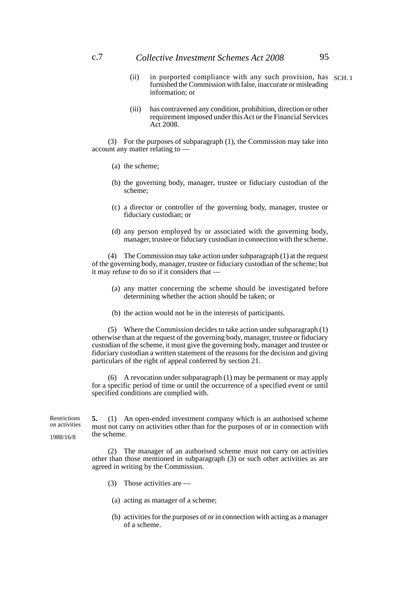- (ii) in purported compliance with any such provision, has SCH. 1 furnished the Commission with false, inaccurate or misleading information; or
- (iii) has contravened any condition, prohibition, direction or other requirement imposed under this Act or the Financial Services Act 2008.

(3) For the purposes of subparagraph (1), the Commission may take into account any matter relating to —

- (a) the scheme;
- (b) the governing body, manager, trustee or fiduciary custodian of the scheme;
- (c) a director or controller of the governing body, manager, trustee or fiduciary custodian; or
- (d) any person employed by or associated with the governing body, manager, trustee or fiduciary custodian in connection with the scheme.

(4) The Commission may take action under subparagraph (1) at the request of the governing body, manager, trustee or fiduciary custodian of the scheme; but it may refuse to do so if it considers that —

- (a) any matter concerning the scheme should be investigated before determining whether the action should be taken; or
- (b) the action would not be in the interests of participants.

(5) Where the Commission decides to take action under subparagraph (1) otherwise than at the request of the governing body, manager, trustee or fiduciary custodian of the scheme, it must give the governing body, manager and trustee or fiduciary custodian a written statement of the reasons for the decision and giving particulars of the right of appeal conferred by section 21.

(6) A revocation under subparagraph (1) may be permanent or may apply for a specific period of time or until the occurrence of a specified event or until specified conditions are complied with.

**5.** (1) An open-ended investment company which is an authorised scheme must not carry on activities other than for the purposes of or in connection with the scheme. **Restrictions** on activities 1988/16/8

> (2) The manager of an authorised scheme must not carry on activities other than those mentioned in subparagraph (3) or such other activities as are agreed in writing by the Commission.

- (3) Those activities are —
- (a) acting as manager of a scheme;
- (b) activities for the purposes of or in connection with acting as a manager of a scheme.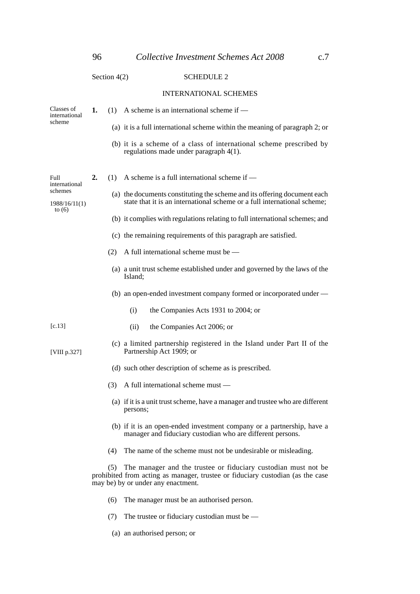## Section 4(2) SCHEDULE 2 INTERNATIONAL SCHEMES **1.** (1) A scheme is an international scheme if — (a) it is a full international scheme within the meaning of paragraph 2; or (b) it is a scheme of a class of international scheme prescribed by regulations made under paragraph 4(1). **2.** (1) A scheme is a full international scheme if — (a) the documents constituting the scheme and its offering document each state that it is an international scheme or a full international scheme; (b) it complies with regulations relating to full international schemes; and (c) the remaining requirements of this paragraph are satisfied. (2) A full international scheme must be — (a) a unit trust scheme established under and governed by the laws of the Island; (b) an open-ended investment company formed or incorporated under — (i) the Companies Acts 1931 to 2004; or (ii) the Companies Act 2006; or (c) a limited partnership registered in the Island under Part II of the Partnership Act 1909; or (d) such other description of scheme as is prescribed. (3) A full international scheme must — (a) if it is a unit trust scheme, have a manager and trustee who are different persons; (b) if it is an open-ended investment company or a partnership, have a manager and fiduciary custodian who are different persons. (4) The name of the scheme must not be undesirable or misleading. (5) The manager and the trustee or fiduciary custodian must not be prohibited from acting as manager, trustee or fiduciary custodian (as the case may be) by or under any enactment. (6) The manager must be an authorised person. Full international schemes 1988/16/11(1) to (6) Classes of international scheme [c.13] [VIII p.327]

- (7) The trustee or fiduciary custodian must be  $-$
- (a) an authorised person; or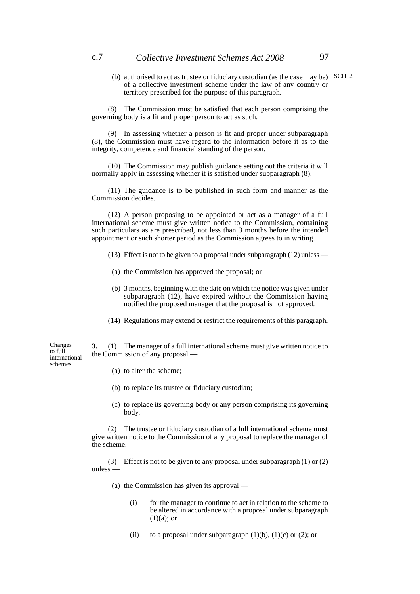(b) authorised to act as trustee or fiduciary custodian (as the case may be) SCH. 2 of a collective investment scheme under the law of any country or territory prescribed for the purpose of this paragraph.

(8) The Commission must be satisfied that each person comprising the governing body is a fit and proper person to act as such.

(9) In assessing whether a person is fit and proper under subparagraph (8), the Commission must have regard to the information before it as to the integrity, competence and financial standing of the person.

(10) The Commission may publish guidance setting out the criteria it will normally apply in assessing whether it is satisfied under subparagraph (8).

(11) The guidance is to be published in such form and manner as the Commission decides.

(12) A person proposing to be appointed or act as a manager of a full international scheme must give written notice to the Commission, containing such particulars as are prescribed, not less than 3 months before the intended appointment or such shorter period as the Commission agrees to in writing.

- (13) Effect is not to be given to a proposal under subparagraph (12) unless —
- (a) the Commission has approved the proposal; or
- (b) 3 months, beginning with the date on which the notice was given under subparagraph (12), have expired without the Commission having notified the proposed manager that the proposal is not approved.
- (14) Regulations may extend or restrict the requirements of this paragraph.

**3.** (1) The manager of a full international scheme must give written notice to the Commission of any proposal —

(a) to alter the scheme;

Changes to full international schemes

- (b) to replace its trustee or fiduciary custodian;
- (c) to replace its governing body or any person comprising its governing body.

(2) The trustee or fiduciary custodian of a full international scheme must give written notice to the Commission of any proposal to replace the manager of the scheme.

(3) Effect is not to be given to any proposal under subparagraph (1) or (2) unless —

- (a) the Commission has given its approval
	- (i) for the manager to continue to act in relation to the scheme to be altered in accordance with a proposal under subparagraph  $(1)(a)$ ; or
	- (ii) to a proposal under subparagraph  $(1)(b)$ ,  $(1)(c)$  or  $(2)$ ; or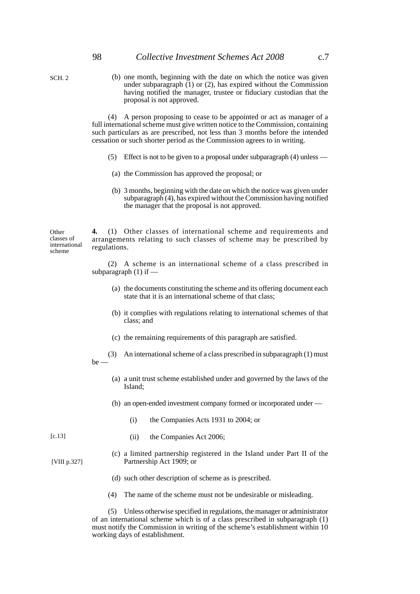SCH. 2

(b) one month, beginning with the date on which the notice was given under subparagraph  $(1)$  or  $(2)$ , has expired without the Commission having notified the manager, trustee or fiduciary custodian that the proposal is not approved.

(4) A person proposing to cease to be appointed or act as manager of a full international scheme must give written notice to the Commission, containing such particulars as are prescribed, not less than 3 months before the intended cessation or such shorter period as the Commission agrees to in writing.

- (5) Effect is not to be given to a proposal under subparagraph (4) unless —
- (a) the Commission has approved the proposal; or
- (b) 3 months, beginning with the date on which the notice was given under subparagraph (4), has expired without the Commission having notified the manager that the proposal is not approved.

**4.** (1) Other classes of international scheme and requirements and arrangements relating to such classes of scheme may be prescribed by regulations. **Other** classes of international scheme

> (2) A scheme is an international scheme of a class prescribed in subparagraph  $(1)$  if  $-$

- (a) the documents constituting the scheme and its offering document each state that it is an international scheme of that class;
- (b) it complies with regulations relating to international schemes of that class; and
- (c) the remaining requirements of this paragraph are satisfied.
- (3) An international scheme of a class prescribed in subparagraph (1) must

be —

- (a) a unit trust scheme established under and governed by the laws of the Island;
- (b) an open-ended investment company formed or incorporated under
	- (i) the Companies Acts 1931 to 2004; or

[c.13]

[VIII p.327]

- (ii) the Companies Act 2006;
- (c) a limited partnership registered in the Island under Part II of the Partnership Act 1909; or
- (d) such other description of scheme as is prescribed.
- (4) The name of the scheme must not be undesirable or misleading.

(5) Unless otherwise specified in regulations, the manager or administrator of an international scheme which is of a class prescribed in subparagraph (1) must notify the Commission in writing of the scheme's establishment within 10 working days of establishment.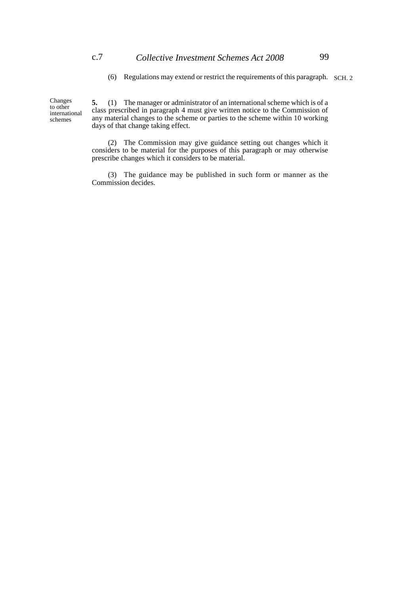(6) Regulations may extend or restrict the requirements of this paragraph. SCH. 2

Changes to other international schemes

**5.** (1) The manager or administrator of an international scheme which is of a class prescribed in paragraph 4 must give written notice to the Commission of any material changes to the scheme or parties to the scheme within 10 working days of that change taking effect.

(2) The Commission may give guidance setting out changes which it considers to be material for the purposes of this paragraph or may otherwise prescribe changes which it considers to be material.

(3) The guidance may be published in such form or manner as the Commission decides.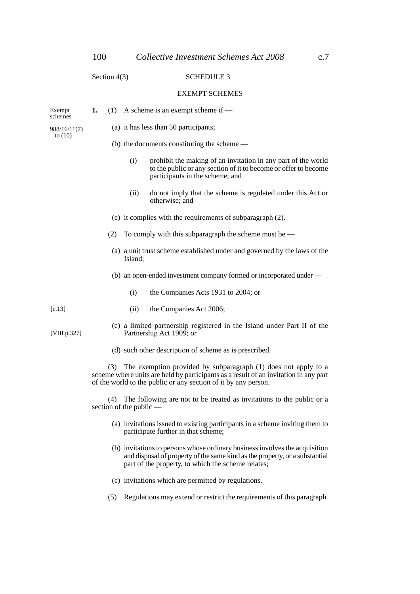#### Section 4(3) SCHEDULE 3

#### EXEMPT SCHEMES

| Exempt<br>schemes         | 1.                                                                                                                                                                                                                              |                                                            | $(1)$ A scheme is an exempt scheme if —                                   |                                                                                                                                                                     |  |  |  |
|---------------------------|---------------------------------------------------------------------------------------------------------------------------------------------------------------------------------------------------------------------------------|------------------------------------------------------------|---------------------------------------------------------------------------|---------------------------------------------------------------------------------------------------------------------------------------------------------------------|--|--|--|
| 988/16/11(7)<br>to $(10)$ |                                                                                                                                                                                                                                 |                                                            | (a) it has less than 50 participants;                                     |                                                                                                                                                                     |  |  |  |
|                           |                                                                                                                                                                                                                                 |                                                            | (b) the documents constituting the scheme $-$                             |                                                                                                                                                                     |  |  |  |
|                           |                                                                                                                                                                                                                                 |                                                            | (i)                                                                       | prohibit the making of an invitation in any part of the world<br>to the public or any section of it to become or offer to become<br>participants in the scheme; and |  |  |  |
|                           |                                                                                                                                                                                                                                 |                                                            | (ii)                                                                      | do not imply that the scheme is regulated under this Act or<br>otherwise: and                                                                                       |  |  |  |
|                           |                                                                                                                                                                                                                                 | (c) it complies with the requirements of subparagraph (2). |                                                                           |                                                                                                                                                                     |  |  |  |
|                           |                                                                                                                                                                                                                                 | (2)                                                        |                                                                           | To comply with this subparagraph the scheme must be $-$                                                                                                             |  |  |  |
|                           |                                                                                                                                                                                                                                 |                                                            | (a) a unit trust scheme established under and governed by the laws of the |                                                                                                                                                                     |  |  |  |
|                           |                                                                                                                                                                                                                                 |                                                            |                                                                           | (b) an open-ended investment company formed or incorporated under —                                                                                                 |  |  |  |
|                           |                                                                                                                                                                                                                                 |                                                            | (i)                                                                       | the Companies Acts 1931 to 2004; or                                                                                                                                 |  |  |  |
| [c.13]                    |                                                                                                                                                                                                                                 |                                                            | (ii)                                                                      | the Companies Act 2006;                                                                                                                                             |  |  |  |
| [VIII p.327]              |                                                                                                                                                                                                                                 |                                                            |                                                                           | (c) a limited partnership registered in the Island under Part II of the<br>Partnership Act 1909; or                                                                 |  |  |  |
|                           | (d) such other description of scheme as is prescribed.                                                                                                                                                                          |                                                            |                                                                           |                                                                                                                                                                     |  |  |  |
|                           | The exemption provided by subparagraph (1) does not apply to a<br>(3)<br>scheme where units are held by participants as a result of an invitation in any part<br>of the world to the public or any section of it by any person. |                                                            |                                                                           |                                                                                                                                                                     |  |  |  |
|                           | (4) The following are not to be treated as invitations to the public or a<br>section of the public —                                                                                                                            |                                                            |                                                                           |                                                                                                                                                                     |  |  |  |
|                           | (a) invitations issued to existing participants in a scheme inviting them to<br>participate further in that scheme;                                                                                                             |                                                            |                                                                           |                                                                                                                                                                     |  |  |  |

- (b) invitations to persons whose ordinary business involves the acquisition and disposal of property of the same kind as the property, or a substantial part of the property, to which the scheme relates;
- (c) invitations which are permitted by regulations.
- (5) Regulations may extend or restrict the requirements of this paragraph.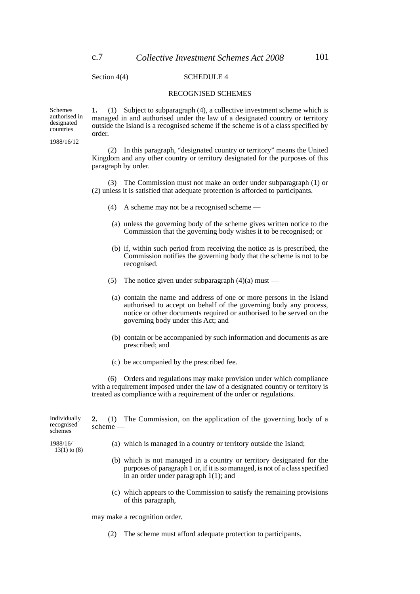Schemes

designated countries 1988/16/12

### Section 4(4) SCHEDULE 4

#### RECOGNISED SCHEMES

**1.** (1) Subject to subparagraph (4), a collective investment scheme which is managed in and authorised under the law of a designated country or territory outside the Island is a recognised scheme if the scheme is of a class specified by order. authorised in

> (2) In this paragraph, "designated country or territory" means the United Kingdom and any other country or territory designated for the purposes of this paragraph by order.

> (3) The Commission must not make an order under subparagraph (1) or (2) unless it is satisfied that adequate protection is afforded to participants.

- (4) A scheme may not be a recognised scheme —
- (a) unless the governing body of the scheme gives written notice to the Commission that the governing body wishes it to be recognised; or
- (b) if, within such period from receiving the notice as is prescribed, the Commission notifies the governing body that the scheme is not to be recognised.
- (5) The notice given under subparagraph  $(4)(a)$  must —
- (a) contain the name and address of one or more persons in the Island authorised to accept on behalf of the governing body any process, notice or other documents required or authorised to be served on the governing body under this Act; and
- (b) contain or be accompanied by such information and documents as are prescribed; and
- (c) be accompanied by the prescribed fee.

(6) Orders and regulations may make provision under which compliance with a requirement imposed under the law of a designated country or territory is treated as compliance with a requirement of the order or regulations.

**2.** (1) The Commission, on the application of the governing body of a scheme — (a) which is managed in a country or territory outside the Island; (b) which is not managed in a country or territory designated for the purposes of paragraph 1 or, if it is so managed, is not of a class specified in an order under paragraph 1(1); and Individually 1988/16/ 13(1) to (8)

> (c) which appears to the Commission to satisfy the remaining provisions of this paragraph,

may make a recognition order.

(2) The scheme must afford adequate protection to participants.

recognised schemes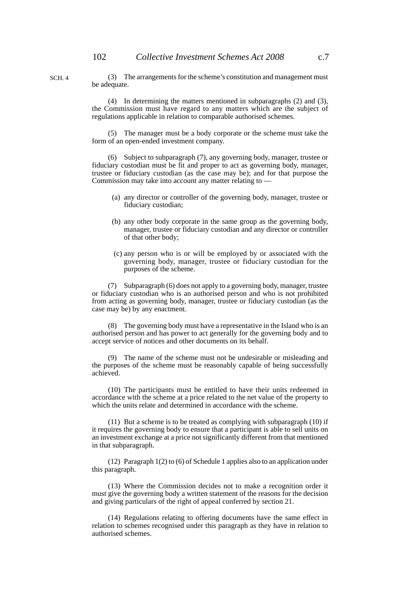SCH. 4

(3) The arrangements for the scheme's constitution and management must be adequate.

(4) In determining the matters mentioned in subparagraphs (2) and (3), the Commission must have regard to any matters which are the subject of regulations applicable in relation to comparable authorised schemes.

(5) The manager must be a body corporate or the scheme must take the form of an open-ended investment company.

(6) Subject to subparagraph (7), any governing body, manager, trustee or fiduciary custodian must be fit and proper to act as governing body, manager, trustee or fiduciary custodian (as the case may be); and for that purpose the Commission may take into account any matter relating to —

- (a) any director or controller of the governing body, manager, trustee or fiduciary custodian;
- (b) any other body corporate in the same group as the governing body, manager, trustee or fiduciary custodian and any director or controller of that other body;
- (c) any person who is or will be employed by or associated with the governing body, manager, trustee or fiduciary custodian for the purposes of the scheme.

(7) Subparagraph (6) does not apply to a governing body, manager, trustee or fiduciary custodian who is an authorised person and who is not prohibited from acting as governing body, manager, trustee or fiduciary custodian (as the case may be) by any enactment.

(8) The governing body must have a representative in the Island who is an authorised person and has power to act generally for the governing body and to accept service of notices and other documents on its behalf.

(9) The name of the scheme must not be undesirable or misleading and the purposes of the scheme must be reasonably capable of being successfully achieved.

(10) The participants must be entitled to have their units redeemed in accordance with the scheme at a price related to the net value of the property to which the units relate and determined in accordance with the scheme.

(11) But a scheme is to be treated as complying with subparagraph (10) if it requires the governing body to ensure that a participant is able to sell units on an investment exchange at a price not significantly different from that mentioned in that subparagraph.

(12) Paragraph 1(2) to (6) of Schedule 1 applies also to an application under this paragraph.

(13) Where the Commission decides not to make a recognition order it must give the governing body a written statement of the reasons for the decision and giving particulars of the right of appeal conferred by section 21.

(14) Regulations relating to offering documents have the same effect in relation to schemes recognised under this paragraph as they have in relation to authorised schemes.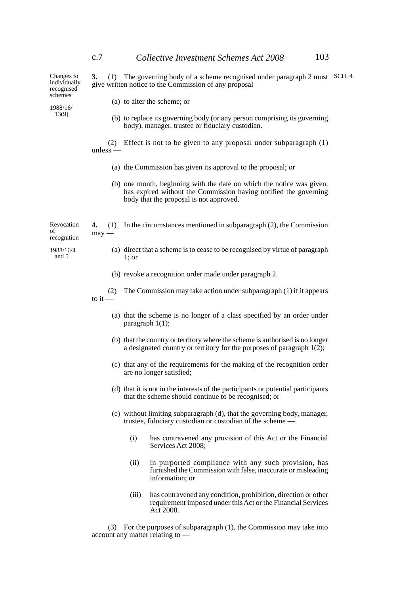| Changes to<br>individually<br>recognised<br>schemes<br>1988/16/<br>13(9) | (1) The governing body of a scheme recognised under paragraph 2 must SCH. 4<br>3.<br>give written notice to the Commission of any proposal — |                    |                                                                                                                                                                                      |  |  |
|--------------------------------------------------------------------------|----------------------------------------------------------------------------------------------------------------------------------------------|--------------------|--------------------------------------------------------------------------------------------------------------------------------------------------------------------------------------|--|--|
|                                                                          |                                                                                                                                              |                    | (a) to alter the scheme; or                                                                                                                                                          |  |  |
|                                                                          |                                                                                                                                              |                    | (b) to replace its governing body (or any person comprising its governing<br>body), manager, trustee or fiduciary custodian.                                                         |  |  |
|                                                                          | $unless -$                                                                                                                                   |                    | (2) Effect is not to be given to any proposal under subparagraph (1)                                                                                                                 |  |  |
|                                                                          |                                                                                                                                              |                    | (a) the Commission has given its approval to the proposal; or                                                                                                                        |  |  |
|                                                                          |                                                                                                                                              |                    | (b) one month, beginning with the date on which the notice was given,<br>has expired without the Commission having notified the governing<br>body that the proposal is not approved. |  |  |
| Revocation<br>οf<br>recognition                                          | 4.<br>(1)<br>$may -$                                                                                                                         |                    | In the circumstances mentioned in subparagraph $(2)$ , the Commission                                                                                                                |  |  |
| 1988/16/4<br>and 5                                                       |                                                                                                                                              | $1$ ; or           | (a) direct that a scheme is to cease to be recognised by virtue of paragraph                                                                                                         |  |  |
|                                                                          |                                                                                                                                              |                    | (b) revoke a recognition order made under paragraph 2.                                                                                                                               |  |  |
|                                                                          | (2)<br>to it $-$                                                                                                                             |                    | The Commission may take action under subparagraph (1) if it appears                                                                                                                  |  |  |
|                                                                          |                                                                                                                                              | paragraph $1(1)$ ; | (a) that the scheme is no longer of a class specified by an order under                                                                                                              |  |  |
|                                                                          |                                                                                                                                              |                    | (b) that the country or territory where the scheme is authorised is no longer<br>a designated country or territory for the purposes of paragraph $1(2)$ ;                            |  |  |
|                                                                          |                                                                                                                                              |                    | (c) that any of the requirements for the making of the recognition order<br>are no longer satisfied;                                                                                 |  |  |
|                                                                          |                                                                                                                                              |                    | (d) that it is not in the interests of the participants or potential participants<br>that the scheme should continue to be recognised; or                                            |  |  |
|                                                                          |                                                                                                                                              |                    | (e) without limiting subparagraph (d), that the governing body, manager,<br>trustee, fiduciary custodian or custodian of the scheme —                                                |  |  |
|                                                                          |                                                                                                                                              | (i)                | has contravened any provision of this Act or the Financial<br>Services Act 2008;                                                                                                     |  |  |
|                                                                          |                                                                                                                                              | (ii)               | in purported compliance with any such provision, has<br>furnished the Commission with false, inaccurate or misleading<br>information; or                                             |  |  |
|                                                                          |                                                                                                                                              | (iii)              | has contravened any condition, prohibition, direction or other<br>requirement imposed under this Act or the Financial Services<br>Act 2008.                                          |  |  |

(3) For the purposes of subparagraph (1), the Commission may take into account any matter relating to —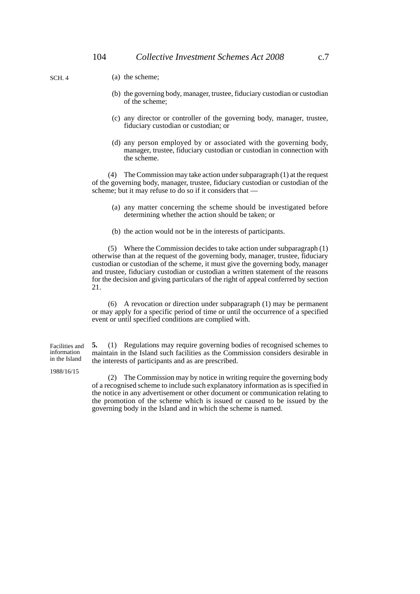- (a) the scheme;
- (b) the governing body, manager, trustee, fiduciary custodian or custodian of the scheme;
- (c) any director or controller of the governing body, manager, trustee, fiduciary custodian or custodian; or
- (d) any person employed by or associated with the governing body, manager, trustee, fiduciary custodian or custodian in connection with the scheme.

(4) The Commission may take action under subparagraph (1) at the request of the governing body, manager, trustee, fiduciary custodian or custodian of the scheme; but it may refuse to do so if it considers that —

- (a) any matter concerning the scheme should be investigated before determining whether the action should be taken; or
- (b) the action would not be in the interests of participants.

(5) Where the Commission decides to take action under subparagraph (1) otherwise than at the request of the governing body, manager, trustee, fiduciary custodian or custodian of the scheme, it must give the governing body, manager and trustee, fiduciary custodian or custodian a written statement of the reasons for the decision and giving particulars of the right of appeal conferred by section 21.

(6) A revocation or direction under subparagraph (1) may be permanent or may apply for a specific period of time or until the occurrence of a specified event or until specified conditions are complied with.

**5.** (1) Regulations may require governing bodies of recognised schemes to maintain in the Island such facilities as the Commission considers desirable in the interests of participants and as are prescribed. Facilities and information in the Island

1988/16/15

(2) The Commission may by notice in writing require the governing body of a recognised scheme to include such explanatory information as is specified in the notice in any advertisement or other document or communication relating to the promotion of the scheme which is issued or caused to be issued by the governing body in the Island and in which the scheme is named.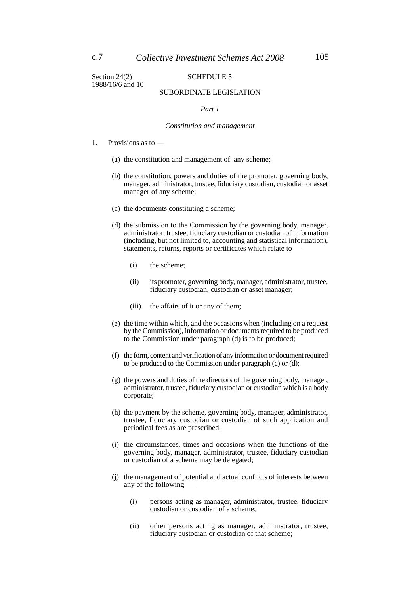Section 24(2) SCHEDULE 5 1988/16/6 and 10

#### SUBORDINATE LEGISLATION

#### *Part 1*

#### *Constitution and management*

- **1.** Provisions as to
	- (a) the constitution and management of any scheme;
	- (b) the constitution, powers and duties of the promoter, governing body, manager, administrator, trustee, fiduciary custodian, custodian or asset manager of any scheme;
	- (c) the documents constituting a scheme;
	- (d) the submission to the Commission by the governing body, manager, administrator, trustee, fiduciary custodian or custodian of information (including, but not limited to, accounting and statistical information), statements, returns, reports or certificates which relate to —
		- (i) the scheme;
		- (ii) its promoter, governing body, manager, administrator, trustee, fiduciary custodian, custodian or asset manager;
		- (iii) the affairs of it or any of them;
	- (e) the time within which, and the occasions when (including on a request by the Commission), information or documents required to be produced to the Commission under paragraph (d) is to be produced;
	- (f) the form, content and verification of any information or document required to be produced to the Commission under paragraph (c) or (d);
	- (g) the powers and duties of the directors of the governing body, manager, administrator, trustee, fiduciary custodian or custodian which is a body corporate;
	- (h) the payment by the scheme, governing body, manager, administrator, trustee, fiduciary custodian or custodian of such application and periodical fees as are prescribed;
	- (i) the circumstances, times and occasions when the functions of the governing body, manager, administrator, trustee, fiduciary custodian or custodian of a scheme may be delegated;
	- (j) the management of potential and actual conflicts of interests between any of the following —
		- (i) persons acting as manager, administrator, trustee, fiduciary custodian or custodian of a scheme;
		- (ii) other persons acting as manager, administrator, trustee, fiduciary custodian or custodian of that scheme;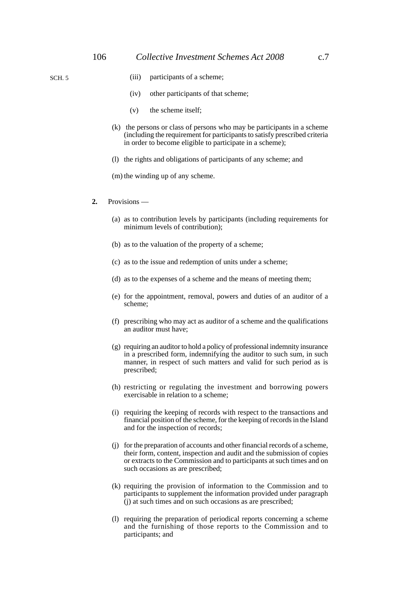- (iii) participants of a scheme;
- (iv) other participants of that scheme;
- (v) the scheme itself;
- (k) the persons or class of persons who may be participants in a scheme (including the requirement for participants to satisfy prescribed criteria in order to become eligible to participate in a scheme);
- (l) the rights and obligations of participants of any scheme; and
- (m) the winding up of any scheme.
- **2.** Provisions
	- (a) as to contribution levels by participants (including requirements for minimum levels of contribution);
	- (b) as to the valuation of the property of a scheme;
	- (c) as to the issue and redemption of units under a scheme;
	- (d) as to the expenses of a scheme and the means of meeting them;
	- (e) for the appointment, removal, powers and duties of an auditor of a scheme;
	- (f) prescribing who may act as auditor of a scheme and the qualifications an auditor must have;
	- (g) requiring an auditor to hold a policy of professional indemnity insurance in a prescribed form, indemnifying the auditor to such sum, in such manner, in respect of such matters and valid for such period as is prescribed;
	- (h) restricting or regulating the investment and borrowing powers exercisable in relation to a scheme;
	- (i) requiring the keeping of records with respect to the transactions and financial position of the scheme, for the keeping of records in the Island and for the inspection of records;
	- (j) for the preparation of accounts and other financial records of a scheme, their form, content, inspection and audit and the submission of copies or extracts to the Commission and to participants at such times and on such occasions as are prescribed;
	- (k) requiring the provision of information to the Commission and to participants to supplement the information provided under paragraph (j) at such times and on such occasions as are prescribed;
	- (l) requiring the preparation of periodical reports concerning a scheme and the furnishing of those reports to the Commission and to participants; and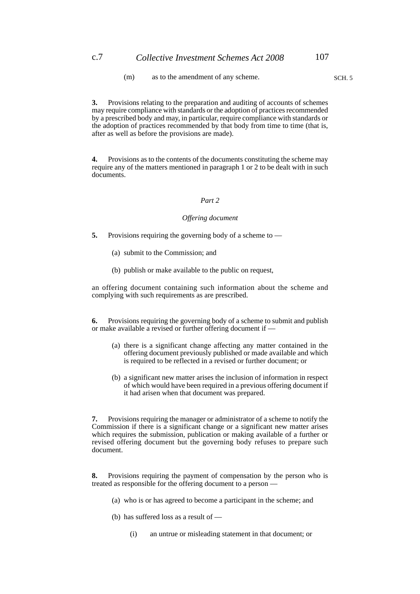(m) as to the amendment of any scheme. SCH. 5

**3.** Provisions relating to the preparation and auditing of accounts of schemes may require compliance with standards or the adoption of practices recommended by a prescribed body and may, in particular, require compliance with standards or the adoption of practices recommended by that body from time to time (that is, after as well as before the provisions are made).

**4.** Provisions as to the contents of the documents constituting the scheme may require any of the matters mentioned in paragraph 1 or 2 to be dealt with in such documents.

#### *Part 2*

#### *Offering document*

- **5.** Provisions requiring the governing body of a scheme to
	- (a) submit to the Commission; and
	- (b) publish or make available to the public on request,

an offering document containing such information about the scheme and complying with such requirements as are prescribed.

**6.** Provisions requiring the governing body of a scheme to submit and publish or make available a revised or further offering document if —

- (a) there is a significant change affecting any matter contained in the offering document previously published or made available and which is required to be reflected in a revised or further document; or
- (b) a significant new matter arises the inclusion of information in respect of which would have been required in a previous offering document if it had arisen when that document was prepared.

**7.** Provisions requiring the manager or administrator of a scheme to notify the Commission if there is a significant change or a significant new matter arises which requires the submission, publication or making available of a further or revised offering document but the governing body refuses to prepare such document.

**8.** Provisions requiring the payment of compensation by the person who is treated as responsible for the offering document to a person —

- (a) who is or has agreed to become a participant in the scheme; and
- (b) has suffered loss as a result of
	- (i) an untrue or misleading statement in that document; or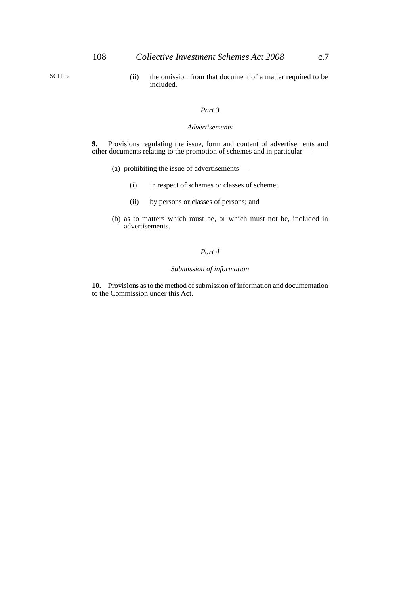(ii) the omission from that document of a matter required to be included.

#### *Part 3*

#### *Advertisements*

**9.** Provisions regulating the issue, form and content of advertisements and other documents relating to the promotion of schemes and in particular —

- (a) prohibiting the issue of advertisements
	- (i) in respect of schemes or classes of scheme;
	- (ii) by persons or classes of persons; and
- (b) as to matters which must be, or which must not be, included in advertisements.

#### *Part 4*

#### *Submission of information*

**10.** Provisions as to the method of submission of information and documentation to the Commission under this Act.

SCH. 5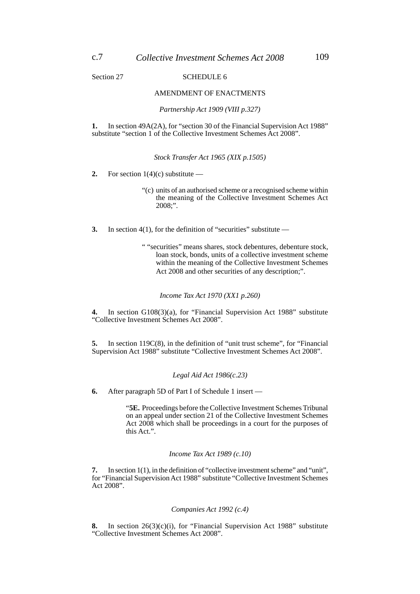Section 27 SCHEDULE 6

#### AMENDMENT OF ENACTMENTS

*Partnership Act 1909 (VIII p.327)*

**1.** In section 49A(2A), for "section 30 of the Financial Supervision Act 1988" substitute "section 1 of the Collective Investment Schemes Act 2008".

*Stock Transfer Act 1965 (XIX p.1505)*

**2.** For section  $1(4)(c)$  substitute —

- "(c) units of an authorised scheme or a recognised scheme within the meaning of the Collective Investment Schemes Act 2008;".
- **3.** In section 4(1), for the definition of "securities" substitute —

" "securities" means shares, stock debentures, debenture stock, loan stock, bonds, units of a collective investment scheme within the meaning of the Collective Investment Schemes Act 2008 and other securities of any description;".

#### *Income Tax Act 1970 (XX1 p.260)*

**4.** In section G108(3)(a), for "Financial Supervision Act 1988" substitute "Collective Investment Schemes Act 2008".

**5.** In section 119C(8), in the definition of "unit trust scheme", for "Financial Supervision Act 1988" substitute "Collective Investment Schemes Act 2008".

#### *Legal Aid Act 1986(c.23)*

**6.** After paragraph 5D of Part I of Schedule 1 insert —

"**5E.** Proceedings before the Collective Investment Schemes Tribunal on an appeal under section 21 of the Collective Investment Schemes Act 2008 which shall be proceedings in a court for the purposes of this Act.".

#### *Income Tax Act 1989 (c.10)*

**7.** In section 1(1), in the definition of "collective investment scheme" and "unit", for "Financial Supervision Act 1988" substitute "Collective Investment Schemes Act 2008".

#### *Companies Act 1992 (c.4)*

**8.** In section 26(3)(c)(i), for "Financial Supervision Act 1988" substitute "Collective Investment Schemes Act 2008".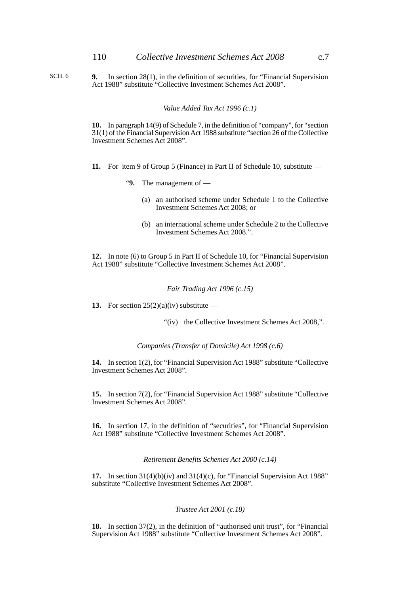- SCH. 6
- **9.** In section 28(1), in the definition of securities, for "Financial Supervision Act 1988" substitute "Collective Investment Schemes Act 2008".

*Value Added Tax Act 1996 (c.1)*

**10.** In paragraph 14(9) of Schedule 7, in the definition of "company", for "section 31(1) of the Financial Supervision Act 1988 substitute "section 26 of the Collective Investment Schemes Act 2008".

- **11.** For item 9 of Group 5 (Finance) in Part II of Schedule 10, substitute
	- "**9.** The management of
		- (a) an authorised scheme under Schedule 1 to the Collective Investment Schemes Act 2008; or
		- (b) an international scheme under Schedule 2 to the Collective Investment Schemes Act 2008.".

**12.** In note (6) to Group 5 in Part II of Schedule 10, for "Financial Supervision Act 1988" substitute "Collective Investment Schemes Act 2008".

#### *Fair Trading Act 1996 (c.15)*

**13.** For section  $25(2)(a)(iv)$  substitute —

"(iv) the Collective Investment Schemes Act 2008,".

*Companies (Transfer of Domicile) Act 1998 (c.6)*

**14.** In section 1(2), for "Financial Supervision Act 1988" substitute "Collective Investment Schemes Act 2008".

**15.** In section 7(2), for "Financial Supervision Act 1988" substitute "Collective Investment Schemes Act 2008".

**16.** In section 17, in the definition of "securities", for "Financial Supervision Act 1988" substitute "Collective Investment Schemes Act 2008".

*Retirement Benefits Schemes Act 2000 (c.14)*

**17.** In section 31(4)(b)(iv) and 31(4)(c), for "Financial Supervision Act 1988" substitute "Collective Investment Schemes Act 2008".

#### *Trustee Act 2001 (c.18)*

**18.** In section 37(2), in the definition of "authorised unit trust", for "Financial Supervision Act 1988" substitute "Collective Investment Schemes Act 2008".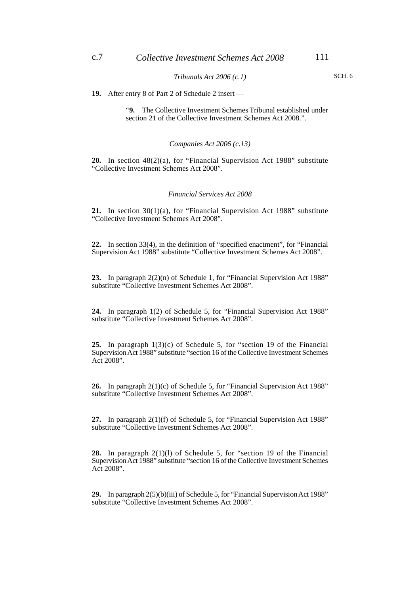#### *Tribunals Act 2006 (c.1)*

SCH. 6

**19.** After entry 8 of Part 2 of Schedule 2 insert —

"**9.** The Collective Investment Schemes Tribunal established under section 21 of the Collective Investment Schemes Act 2008.".

#### *Companies Act 2006 (c.13)*

**20.** In section 48(2)(a), for "Financial Supervision Act 1988" substitute "Collective Investment Schemes Act 2008".

#### *Financial Services Act 2008*

**21.** In section 30(1)(a), for "Financial Supervision Act 1988" substitute "Collective Investment Schemes Act 2008".

**22.** In section 33(4), in the definition of "specified enactment", for "Financial Supervision Act 1988" substitute "Collective Investment Schemes Act 2008".

**23.** In paragraph 2(2)(n) of Schedule 1, for "Financial Supervision Act 1988" substitute "Collective Investment Schemes Act 2008".

**24.** In paragraph 1(2) of Schedule 5, for "Financial Supervision Act 1988" substitute "Collective Investment Schemes Act 2008".

**25.** In paragraph 1(3)(c) of Schedule 5, for "section 19 of the Financial Supervision Act 1988" substitute "section 16 of the Collective Investment Schemes Act 2008".

**26.** In paragraph 2(1)(c) of Schedule 5, for "Financial Supervision Act 1988" substitute "Collective Investment Schemes Act 2008".

**27.** In paragraph 2(1)(f) of Schedule 5, for "Financial Supervision Act 1988" substitute "Collective Investment Schemes Act 2008".

**28.** In paragraph 2(1)(l) of Schedule 5, for "section 19 of the Financial Supervision Act 1988" substitute "section 16 of the Collective Investment Schemes Act 2008".

**29.** In paragraph 2(5)(b)(iii) of Schedule 5, for "Financial Supervision Act 1988" substitute "Collective Investment Schemes Act 2008".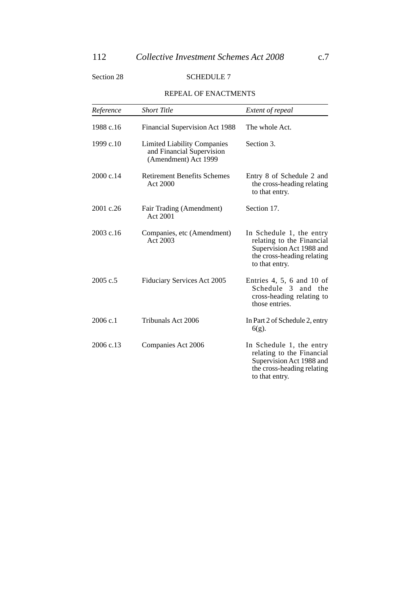### Section 28 SCHEDULE 7

### REPEAL OF ENACTMENTS

| Reference | <b>Short Title</b>                                                                      | Extent of repeal                                                                                                                  |
|-----------|-----------------------------------------------------------------------------------------|-----------------------------------------------------------------------------------------------------------------------------------|
| 1988 c.16 | Financial Supervision Act 1988                                                          | The whole Act.                                                                                                                    |
| 1999 c.10 | <b>Limited Liability Companies</b><br>and Financial Supervision<br>(Amendment) Act 1999 | Section 3.                                                                                                                        |
| 2000 c.14 | <b>Retirement Benefits Schemes</b><br>Act 2000                                          | Entry 8 of Schedule 2 and<br>the cross-heading relating<br>to that entry.                                                         |
| 2001 c.26 | Fair Trading (Amendment)<br>Act 2001                                                    | Section 17.                                                                                                                       |
| 2003 c.16 | Companies, etc (Amendment)<br>Act 2003                                                  | In Schedule 1, the entry<br>relating to the Financial<br>Supervision Act 1988 and<br>the cross-heading relating<br>to that entry. |
| 2005 c.5  | <b>Fiduciary Services Act 2005</b>                                                      | Entries 4, 5, 6 and 10 of<br>Schedule 3<br>and the<br>cross-heading relating to<br>those entries.                                 |
| 2006c.1   | Tribunals Act 2006                                                                      | In Part 2 of Schedule 2, entry<br>$6(g)$ .                                                                                        |
| 2006 c.13 | Companies Act 2006                                                                      | In Schedule 1, the entry<br>relating to the Financial<br>Supervision Act 1988 and<br>the cross-heading relating<br>to that entry. |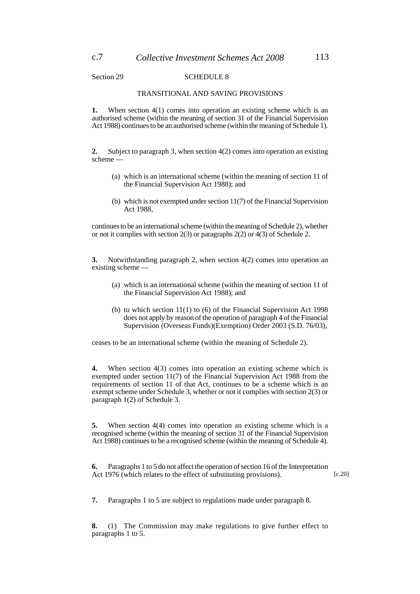Section 29 SCHEDULE 8

#### TRANSITIONAL AND SAVING PROVISIONS

**1.** When section 4(1) comes into operation an existing scheme which is an authorised scheme (within the meaning of section 31 of the Financial Supervision Act 1988) continues to be an authorised scheme (within the meaning of Schedule 1).

**2.** Subject to paragraph 3, when section 4(2) comes into operation an existing scheme —

- (a) which is an international scheme (within the meaning of section 11 of the Financial Supervision Act 1988); and
- (b) which is not exempted under section 11(7) of the Financial Supervision Act 1988,

continues to be an international scheme (within the meaning of Schedule 2), whether or not it complies with section 2(3) or paragraphs 2(2) or 4(3) of Schedule 2.

**3.** Notwithstanding paragraph 2, when section 4(2) comes into operation an existing scheme -

- (a) which is an international scheme (within the meaning of section 11 of the Financial Supervision Act 1988); and
- (b) to which section 11(1) to (6) of the Financial Supervision Act 1998 does not apply by reason of the operation of paragraph 4 of the Financial Supervision (Overseas Funds)(Exemption) Order 2003 (S.D. 76/03),

ceases to be an international scheme (within the meaning of Schedule 2).

**4.** When section 4(3) comes into operation an existing scheme which is exempted under section 11(7) of the Financial Supervision Act 1988 from the requirements of section 11 of that Act, continues to be a scheme which is an exempt scheme under Schedule 3, whether or not it complies with section 2(3) or paragraph 1(2) of Schedule 3.

**5.** When section 4(4) comes into operation an existing scheme which is a recognised scheme (within the meaning of section 31 of the Financial Supervision Act 1988) continues to be a recognised scheme (within the meaning of Schedule 4).

**6.** Paragraphs 1 to 5 do not affect the operation of section 16 of the Interpretation Act 1976 (which relates to the effect of substituting provisions).

[c.20]

**7.** Paragraphs 1 to 5 are subject to regulations made under paragraph 8.

**8.** (1) The Commission may make regulations to give further effect to paragraphs 1 to 5.